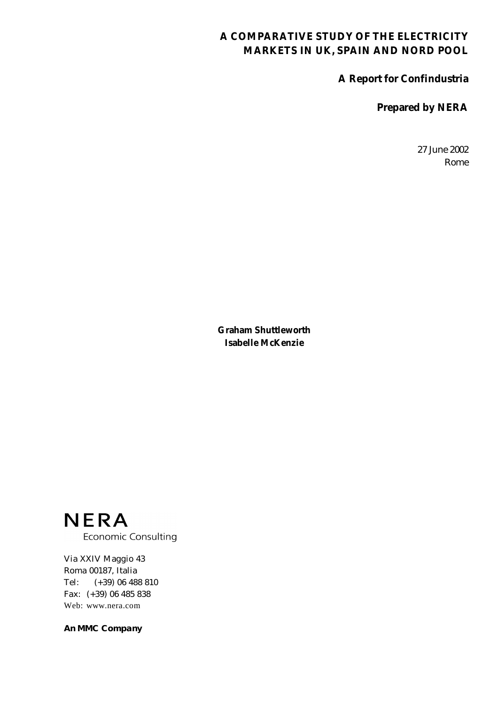### **A COMPARATIVE STUDY OF THE ELECTRICITY MARKETS IN UK, SPAIN AND NORD POOL**

**A Report for Confindustria** 

**Prepared by NERA** 

27 June 2002 Rome

**Graham Shuttleworth Isabelle McKenzie** 

**NERA Economic Consulting** 

Via XXIV Maggio 43 Roma 00187, Italia Tel: (+39) 06 488 810 Fax: (+39) 06 485 838 Web: www.nera.com

**An MMC Company**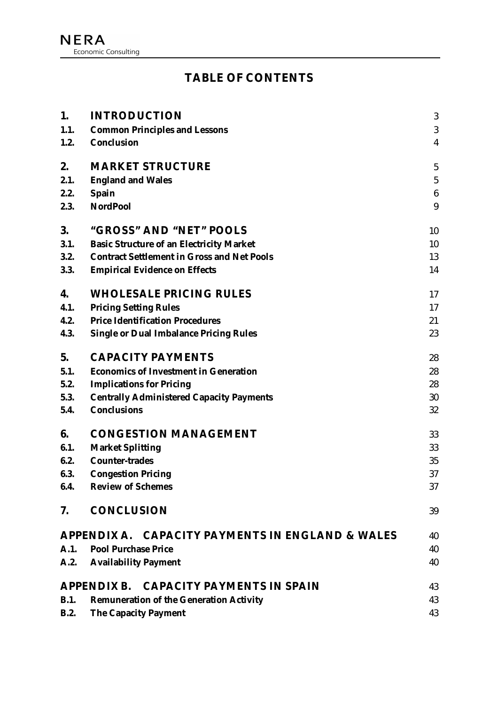# **TABLE OF CONTENTS**

| 1.   | <b>INTRODUCTION</b>                                     | $\boldsymbol{3}$ |
|------|---------------------------------------------------------|------------------|
| 1.1. | <b>Common Principles and Lessons</b>                    | 3                |
| 1.2. | <b>Conclusion</b>                                       | $\overline{4}$   |
| 2.   | <b>MARKET STRUCTURE</b>                                 | $\overline{5}$   |
| 2.1. | <b>England and Wales</b>                                | $\sqrt{5}$       |
| 2.2. | <b>Spain</b>                                            | $\boldsymbol{6}$ |
| 2.3. | <b>NordPool</b>                                         | 9                |
| 3.   | "GROSS" AND "NET" POOLS                                 | 10               |
| 3.1. | <b>Basic Structure of an Electricity Market</b>         | 10               |
| 3.2. | <b>Contract Settlement in Gross and Net Pools</b>       | 13               |
| 3.3. | <b>Empirical Evidence on Effects</b>                    | 14               |
| 4.   | <b>WHOLESALE PRICING RULES</b>                          | 17               |
| 4.1. | <b>Pricing Setting Rules</b>                            | 17               |
| 4.2. | <b>Price Identification Procedures</b>                  | 21               |
| 4.3. | <b>Single or Dual Imbalance Pricing Rules</b>           | 23               |
| 5.   | <b>CAPACITY PAYMENTS</b>                                | 28               |
| 5.1. | <b>Economics of Investment in Generation</b>            | 28               |
| 5.2. | <b>Implications for Pricing</b>                         | 28               |
| 5.3. | <b>Centrally Administered Capacity Payments</b>         | 30               |
| 5.4. | <b>Conclusions</b>                                      | 32               |
| 6.   | <b>CONGESTION MANAGEMENT</b>                            | 33               |
| 6.1. | <b>Market Splitting</b>                                 | 33               |
| 6.2. | <b>Counter-trades</b>                                   | 35               |
| 6.3. | <b>Congestion Pricing</b>                               | 37               |
| 6.4. | <b>Review of Schemes</b>                                | 37               |
| 7.   | <b>CONCLUSION</b>                                       | 39               |
|      | APPENDIX A. CAPACITY PAYMENTS IN ENGLAND & WALES        | 40               |
| A.1. | <b>Pool Purchase Price</b>                              | 40               |
| A.2. | <b>Availability Payment</b>                             | 40               |
|      | <b>CAPACITY PAYMENTS IN SPAIN</b><br><b>APPENDIX B.</b> | 43               |
| B.1. | <b>Remuneration of the Generation Activity</b>          | 43               |
| B.2. | <b>The Capacity Payment</b>                             | 43               |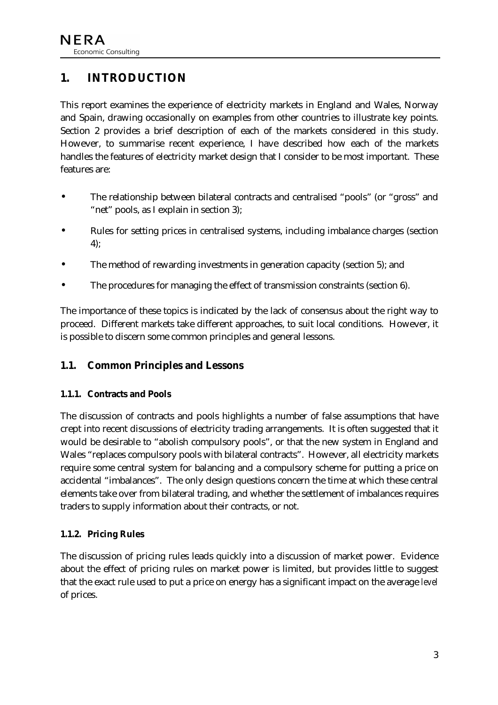# <span id="page-3-0"></span>**1. INTRODUCTION**

This report examines the experience of electricity markets in England and Wales, Norway and Spain, drawing occasionally on examples from other countries to illustrate key points. Section [2](#page-5-0) provides a brief description of each of the markets considered in this study. However, to summarise recent experience, I have described how each of the markets handles the features of electricity market design that I consider to be most important. These features are:

- The relationship between bilateral contracts and centralised "pools" (or "gross" and "net" pools, as I explain in section [3\)](#page-10-0);
- Rules for setting prices in centralised systems, including imbalance charges (section [4\)](#page-17-0);
- The method of rewarding investments in generation capacity (section [5\)](#page-28-0); and
- The procedures for managing the effect of transmission constraints (section [6\)](#page-33-0).

The importance of these topics is indicated by the lack of consensus about the right way to proceed. Different markets take different approaches, to suit local conditions. However, it is possible to discern some common principles and general lessons.

## **1.1. Common Principles and Lessons**

#### **1.1.1. Contracts and Pools**

The discussion of contracts and pools highlights a number of false assumptions that have crept into recent discussions of electricity trading arrangements. It is often suggested that it would be desirable to "abolish compulsory pools", or that the new system in England and Wales "replaces compulsory pools with bilateral contracts". However, all electricity markets require some central system for balancing and a compulsory scheme for putting a price on accidental "imbalances". The only design questions concern the time at which these central elements take over from bilateral trading, and whether the settlement of imbalances requires traders to supply information about their contracts, or not.

#### **1.1.2. Pricing Rules**

The discussion of pricing rules leads quickly into a discussion of market power. Evidence about the effect of pricing rules on market power is limited, but provides little to suggest that the exact rule used to put a price on energy has a significant impact on the average *level* of prices.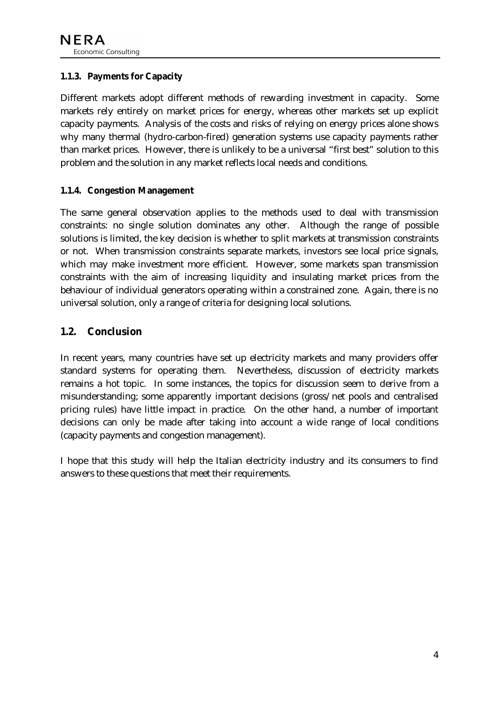#### <span id="page-4-0"></span>**1.1.3. Payments for Capacity**

Different markets adopt different methods of rewarding investment in capacity. Some markets rely entirely on market prices for energy, whereas other markets set up explicit capacity payments. Analysis of the costs and risks of relying on energy prices alone shows why many thermal (hydro-carbon-fired) generation systems use capacity payments rather than market prices. However, there is unlikely to be a universal "first best" solution to this problem and the solution in any market reflects local needs and conditions.

#### **1.1.4. Congestion Management**

The same general observation applies to the methods used to deal with transmission constraints: no single solution dominates any other. Although the range of possible solutions is limited, the key decision is whether to split markets at transmission constraints or not. When transmission constraints separate markets, investors see local price signals, which may make investment more efficient. However, some markets span transmission constraints with the aim of increasing liquidity and insulating market prices from the behaviour of individual generators operating within a constrained zone. Again, there is no universal solution, only a range of criteria for designing local solutions.

#### **1.2. Conclusion**

In recent years, many countries have set up electricity markets and many providers offer standard systems for operating them. Nevertheless, discussion of electricity markets remains a hot topic. In some instances, the topics for discussion seem to derive from a misunderstanding; some apparently important decisions (gross/net pools and centralised pricing rules) have little impact in practice. On the other hand, a number of important decisions can only be made after taking into account a wide range of local conditions (capacity payments and congestion management).

I hope that this study will help the Italian electricity industry and its consumers to find answers to these questions that meet their requirements.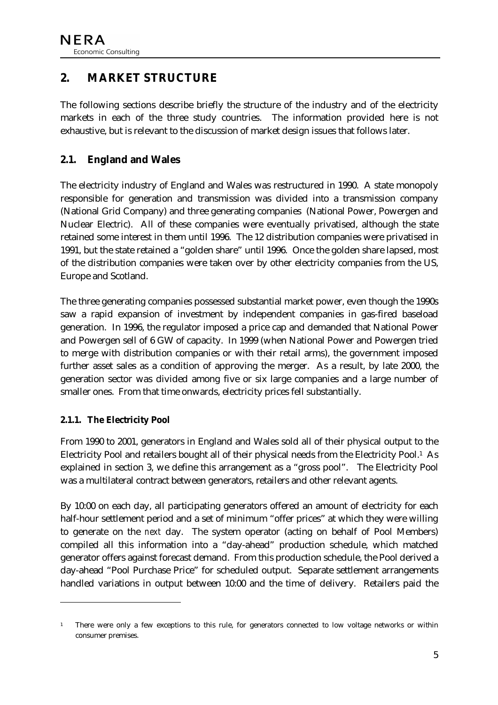# <span id="page-5-0"></span>**2. MARKET STRUCTURE**

The following sections describe briefly the structure of the industry and of the electricity markets in each of the three study countries. The information provided here is not exhaustive, but is relevant to the discussion of market design issues that follows later.

## **2.1. England and Wales**

The electricity industry of England and Wales was restructured in 1990. A state monopoly responsible for generation and transmission was divided into a transmission company (National Grid Company) and three generating companies (National Power, Powergen and Nuclear Electric). All of these companies were eventually privatised, although the state retained some interest in them until 1996. The 12 distribution companies were privatised in 1991, but the state retained a "golden share" until 1996. Once the golden share lapsed, most of the distribution companies were taken over by other electricity companies from the US, Europe and Scotland.

The three generating companies possessed substantial market power, even though the 1990s saw a rapid expansion of investment by independent companies in gas-fired baseload generation. In 1996, the regulator imposed a price cap and demanded that National Power and Powergen sell of 6 GW of capacity. In 1999 (when National Power and Powergen tried to merge with distribution companies or with their retail arms), the government imposed further asset sales as a condition of approving the merger. As a result, by late 2000, the generation sector was divided among five or six large companies and a large number of smaller ones. From that time onwards, electricity prices fell substantially.

#### **2.1.1. The Electricity Pool**

 $\ddot{\phantom{a}}$ 

From 1990 to 2001, generators in England and Wales sold all of their physical output to the Electricity Pool and retailers bought all of their physical needs from the Electricity Pool.1 As explained in section [3,](#page-10-0) we define this arrangement as a "gross pool". The Electricity Pool was a multilateral contract between generators, retailers and other relevant agents.

By 10:00 on each day, all participating generators offered an amount of electricity for each half-hour settlement period and a set of minimum "offer prices" at which they were willing to generate on the *next* day. The system operator (acting on behalf of Pool Members) compiled all this information into a "day-ahead" production schedule, which matched generator offers against forecast demand. From this production schedule, the Pool derived a day-ahead "Pool Purchase Price" for scheduled output. Separate settlement arrangements handled variations in output between 10:00 and the time of delivery. Retailers paid the

<sup>1</sup> There were only a few exceptions to this rule, for generators connected to low voltage networks or within consumer premises.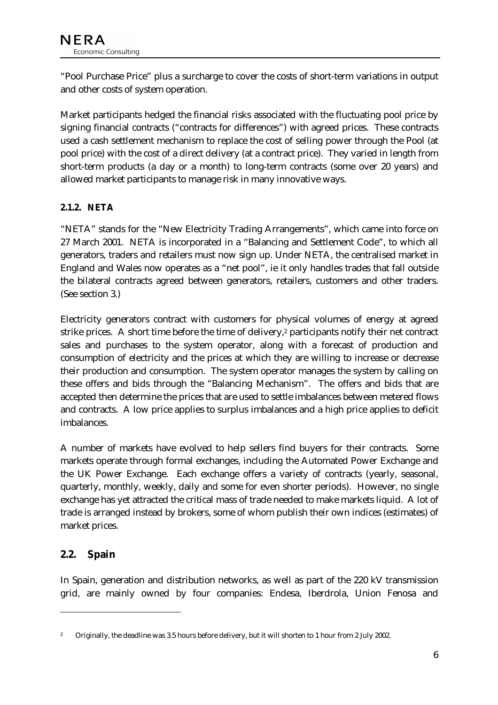<span id="page-6-0"></span>"Pool Purchase Price" plus a surcharge to cover the costs of short-term variations in output and other costs of system operation.

Market participants hedged the financial risks associated with the fluctuating pool price by signing financial contracts ("contracts for differences") with agreed prices. These contracts used a cash settlement mechanism to replace the cost of selling power through the Pool (at pool price) with the cost of a direct delivery (at a contract price). They varied in length from short-term products (a day or a month) to long-term contracts (some over 20 years) and allowed market participants to manage risk in many innovative ways.

### **2.1.2. NETA**

"NETA" stands for the "New Electricity Trading Arrangements", which came into force on 27 March 2001. NETA is incorporated in a "Balancing and Settlement Code", to which all generators, traders and retailers must now sign up. Under NETA, the centralised market in England and Wales now operates as a "net pool", ie it only handles trades that fall outside the bilateral contracts agreed between generators, retailers, customers and other traders. (See section [3.](#page-10-0))

Electricity generators contract with customers for physical volumes of energy at agreed strike prices. A short time before the time of delivery,<sup>2</sup> participants notify their net contract sales and purchases to the system operator, along with a forecast of production and consumption of electricity and the prices at which they are willing to increase or decrease their production and consumption. The system operator manages the system by calling on these offers and bids through the "Balancing Mechanism". The offers and bids that are accepted then determine the prices that are used to settle imbalances between metered flows and contracts. A low price applies to surplus imbalances and a high price applies to deficit imbalances.

A number of markets have evolved to help sellers find buyers for their contracts. Some markets operate through formal exchanges, including the Automated Power Exchange and the UK Power Exchange. Each exchange offers a variety of contracts (yearly, seasonal, quarterly, monthly, weekly, daily and some for even shorter periods). However, no single exchange has yet attracted the critical mass of trade needed to make markets liquid. A lot of trade is arranged instead by brokers, some of whom publish their own indices (estimates) of market prices.

## **2.2. Spain**

 $\ddot{\phantom{a}}$ 

In Spain, generation and distribution networks, as well as part of the 220 kV transmission grid, are mainly owned by four companies: Endesa, Iberdrola, Union Fenosa and

<sup>2</sup> Originally, the deadline was 3.5 hours before delivery, but it will shorten to 1 hour from 2 July 2002.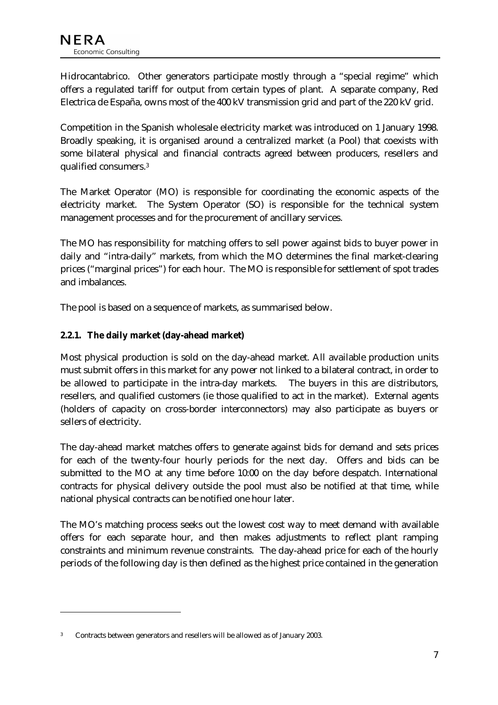Hidrocantabrico. Other generators participate mostly through a "special regime" which offers a regulated tariff for output from certain types of plant. A separate company, Red Electrica de España, owns most of the 400 kV transmission grid and part of the 220 kV grid.

Competition in the Spanish wholesale electricity market was introduced on 1 January 1998. Broadly speaking, it is organised around a centralized market (a Pool) that coexists with some bilateral physical and financial contracts agreed between producers, resellers and qualified consumers.3

The Market Operator (MO) is responsible for coordinating the economic aspects of the electricity market. The System Operator (SO) is responsible for the technical system management processes and for the procurement of ancillary services.

The MO has responsibility for matching offers to sell power against bids to buyer power in daily and "intra-daily" markets, from which the MO determines the final market-clearing prices ("marginal prices") for each hour. The MO is responsible for settlement of spot trades and imbalances.

The pool is based on a sequence of markets, as summarised below.

#### **2.2.1. The daily market (day-ahead market)**

Most physical production is sold on the day-ahead market. All available production units must submit offers in this market for any power not linked to a bilateral contract, in order to be allowed to participate in the intra-day markets. The buyers in this are distributors, resellers, and qualified customers (ie those qualified to act in the market). External agents (holders of capacity on cross-border interconnectors) may also participate as buyers or sellers of electricity.

The day-ahead market matches offers to generate against bids for demand and sets prices for each of the twenty-four hourly periods for the next day. Offers and bids can be submitted to the MO at any time before 10:00 on the day before despatch. International contracts for physical delivery outside the pool must also be notified at that time, while national physical contracts can be notified one hour later.

The MO's matching process seeks out the lowest cost way to meet demand with available offers for each separate hour, and then makes adjustments to reflect plant ramping constraints and minimum revenue constraints. The day-ahead price for each of the hourly periods of the following day is then defined as the highest price contained in the generation

 $\ddot{\phantom{a}}$ 

<sup>3</sup> Contracts between generators and resellers will be allowed as of January 2003.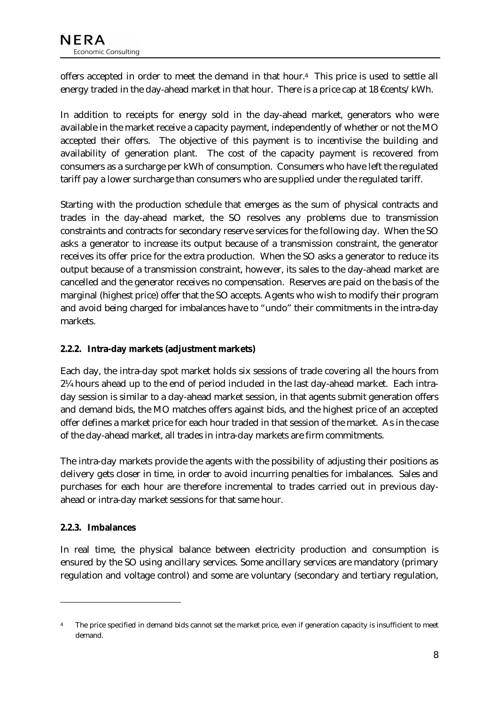offers accepted in order to meet the demand in that hour.4 This price is used to settle all energy traded in the day-ahead market in that hour. There is a price cap at 18 €cents/kWh.

In addition to receipts for energy sold in the day-ahead market, generators who were available in the market receive a capacity payment, independently of whether or not the MO accepted their offers. The objective of this payment is to incentivise the building and availability of generation plant. The cost of the capacity payment is recovered from consumers as a surcharge per kWh of consumption. Consumers who have left the regulated tariff pay a lower surcharge than consumers who are supplied under the regulated tariff.

Starting with the production schedule that emerges as the sum of physical contracts and trades in the day-ahead market, the SO resolves any problems due to transmission constraints and contracts for secondary reserve services for the following day. When the SO asks a generator to increase its output because of a transmission constraint, the generator receives its offer price for the extra production. When the SO asks a generator to reduce its output because of a transmission constraint, however, its sales to the day-ahead market are cancelled and the generator receives no compensation. Reserves are paid on the basis of the marginal (highest price) offer that the SO accepts. Agents who wish to modify their program and avoid being charged for imbalances have to "undo" their commitments in the intra-day markets.

#### **2.2.2. Intra-day markets (adjustment markets)**

Each day, the intra-day spot market holds six sessions of trade covering all the hours from 2¼ hours ahead up to the end of period included in the last day-ahead market. Each intraday session is similar to a day-ahead market session, in that agents submit generation offers and demand bids, the MO matches offers against bids, and the highest price of an accepted offer defines a market price for each hour traded in that session of the market. As in the case of the day-ahead market, all trades in intra-day markets are firm commitments.

The intra-day markets provide the agents with the possibility of adjusting their positions as delivery gets closer in time, in order to avoid incurring penalties for imbalances. Sales and purchases for each hour are therefore incremental to trades carried out in previous dayahead or intra-day market sessions for that same hour.

#### **2.2.3. Imbalances**

 $\ddot{\phantom{a}}$ 

In real time, the physical balance between electricity production and consumption is ensured by the SO using ancillary services. Some ancillary services are mandatory (primary regulation and voltage control) and some are voluntary (secondary and tertiary regulation,

The price specified in demand bids cannot set the market price, even if generation capacity is insufficient to meet demand.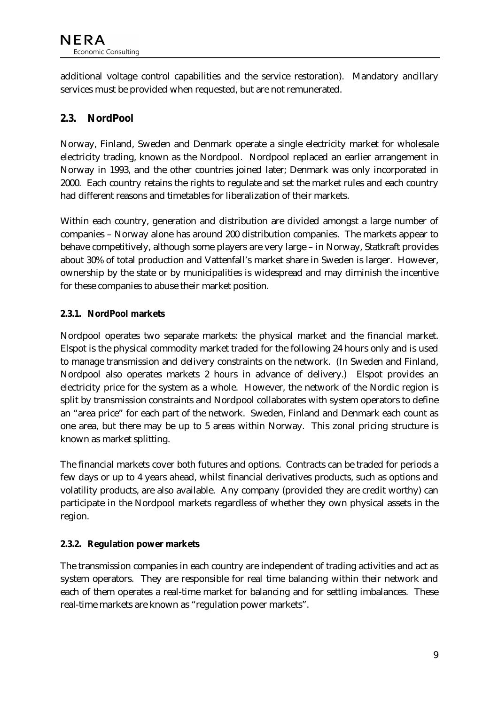<span id="page-9-0"></span>additional voltage control capabilities and the service restoration). Mandatory ancillary services must be provided when requested, but are not remunerated.

# **2.3. NordPool**

Norway, Finland, Sweden and Denmark operate a single electricity market for wholesale electricity trading, known as the Nordpool. Nordpool replaced an earlier arrangement in Norway in 1993, and the other countries joined later; Denmark was only incorporated in 2000. Each country retains the rights to regulate and set the market rules and each country had different reasons and timetables for liberalization of their markets.

Within each country, generation and distribution are divided amongst a large number of companies – Norway alone has around 200 distribution companies. The markets appear to behave competitively, although some players are very large – in Norway, Statkraft provides about 30% of total production and Vattenfall's market share in Sweden is larger. However, ownership by the state or by municipalities is widespread and may diminish the incentive for these companies to abuse their market position.

#### **2.3.1. NordPool markets**

Nordpool operates two separate markets: the physical market and the financial market. Elspot is the physical commodity market traded for the following 24 hours only and is used to manage transmission and delivery constraints on the network. (In Sweden and Finland, Nordpool also operates markets 2 hours in advance of delivery.) Elspot provides an electricity price for the system as a whole. However, the network of the Nordic region is split by transmission constraints and Nordpool collaborates with system operators to define an "area price" for each part of the network. Sweden, Finland and Denmark each count as one area, but there may be up to 5 areas within Norway. This zonal pricing structure is known as market splitting.

The financial markets cover both futures and options. Contracts can be traded for periods a few days or up to 4 years ahead, whilst financial derivatives products, such as options and volatility products, are also available. Any company (provided they are credit worthy) can participate in the Nordpool markets regardless of whether they own physical assets in the region.

#### **2.3.2. Regulation power markets**

The transmission companies in each country are independent of trading activities and act as system operators. They are responsible for real time balancing within their network and each of them operates a real-time market for balancing and for settling imbalances. These real-time markets are known as "regulation power markets".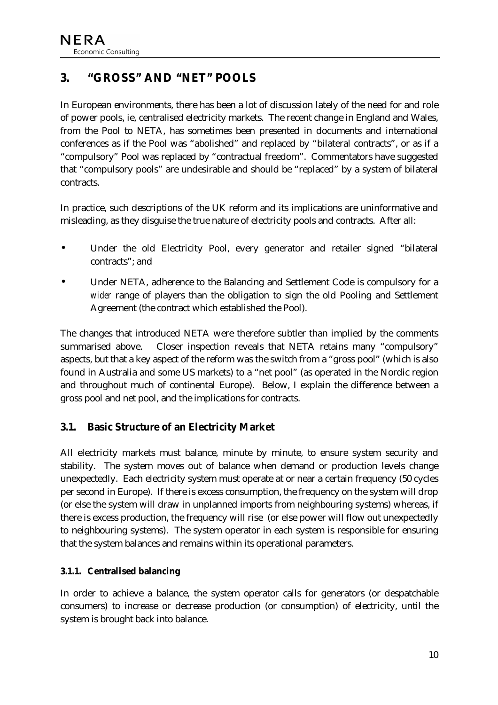# <span id="page-10-0"></span>**3. "GROSS" AND "NET" POOLS**

In European environments, there has been a lot of discussion lately of the need for and role of power pools, ie, centralised electricity markets. The recent change in England and Wales, from the Pool to NETA, has sometimes been presented in documents and international conferences as if the Pool was "abolished" and replaced by "bilateral contracts", or as if a "compulsory" Pool was replaced by "contractual freedom". Commentators have suggested that "compulsory pools" are undesirable and should be "replaced" by a system of bilateral contracts.

In practice, such descriptions of the UK reform and its implications are uninformative and misleading, as they disguise the true nature of electricity pools and contracts. After all:

- Under the old Electricity Pool, every generator and retailer signed "bilateral contracts"; and
- Under NETA, adherence to the Balancing and Settlement Code is compulsory for a *wider* range of players than the obligation to sign the old Pooling and Settlement Agreement (the contract which established the Pool).

The changes that introduced NETA were therefore subtler than implied by the comments summarised above. Closer inspection reveals that NETA retains many "compulsory" aspects, but that a key aspect of the reform was the switch from a "gross pool" (which is also found in Australia and some US markets) to a "net pool" (as operated in the Nordic region and throughout much of continental Europe). Below, I explain the difference between a gross pool and net pool, and the implications for contracts.

#### **3.1. Basic Structure of an Electricity Market**

All electricity markets must balance, minute by minute, to ensure system security and stability. The system moves out of balance when demand or production levels change unexpectedly. Each electricity system must operate at or near a certain frequency (50 cycles per second in Europe). If there is excess consumption, the frequency on the system will drop (or else the system will draw in unplanned imports from neighbouring systems) whereas, if there is excess production, the frequency will rise (or else power will flow out unexpectedly to neighbouring systems). The system operator in each system is responsible for ensuring that the system balances and remains within its operational parameters.

#### **3.1.1. Centralised balancing**

In order to achieve a balance, the system operator calls for generators (or despatchable consumers) to increase or decrease production (or consumption) of electricity, until the system is brought back into balance.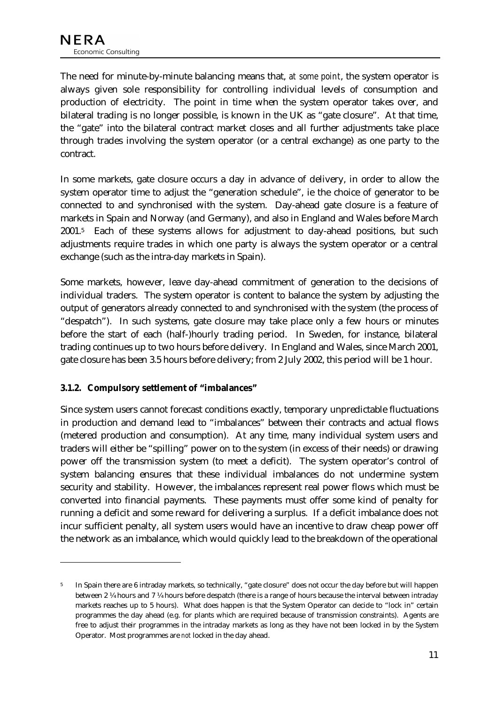The need for minute-by-minute balancing means that, *at some point*, the system operator is always given sole responsibility for controlling individual levels of consumption and production of electricity. The point in time when the system operator takes over, and bilateral trading is no longer possible, is known in the UK as "gate closure". At that time, the "gate" into the bilateral contract market closes and all further adjustments take place through trades involving the system operator (or a central exchange) as one party to the contract.

In some markets, gate closure occurs a day in advance of delivery, in order to allow the system operator time to adjust the "generation schedule", ie the choice of generator to be connected to and synchronised with the system. Day-ahead gate closure is a feature of markets in Spain and Norway (and Germany), and also in England and Wales before March 2001.5 Each of these systems allows for adjustment to day-ahead positions, but such adjustments require trades in which one party is always the system operator or a central exchange (such as the intra-day markets in Spain).

Some markets, however, leave day-ahead commitment of generation to the decisions of individual traders. The system operator is content to balance the system by adjusting the output of generators already connected to and synchronised with the system (the process of "despatch"). In such systems, gate closure may take place only a few hours or minutes before the start of each (half-)hourly trading period. In Sweden, for instance, bilateral trading continues up to two hours before delivery. In England and Wales, since March 2001, gate closure has been 3.5 hours before delivery; from 2 July 2002, this period will be 1 hour.

#### **3.1.2. Compulsory settlement of "imbalances"**

 $\ddot{\phantom{a}}$ 

Since system users cannot forecast conditions exactly, temporary unpredictable fluctuations in production and demand lead to "imbalances" between their contracts and actual flows (metered production and consumption). At any time, many individual system users and traders will either be "spilling" power on to the system (in excess of their needs) or drawing power off the transmission system (to meet a deficit). The system operator's control of system balancing ensures that these individual imbalances do not undermine system security and stability. However, the imbalances represent real power flows which must be converted into financial payments. These payments must offer some kind of penalty for running a deficit and some reward for delivering a surplus. If a deficit imbalance does not incur sufficient penalty, all system users would have an incentive to draw cheap power off the network as an imbalance, which would quickly lead to the breakdown of the operational

<sup>5</sup> In Spain there are 6 intraday markets, so technically, "gate closure" does not occur the day before but will happen between 2 ¼ hours and 7 ¼ hours before despatch (there is a range of hours because the interval between intraday markets reaches up to 5 hours). What does happen is that the System Operator can decide to "lock in" certain programmes the day ahead (e.g. for plants which are required because of transmission constraints). Agents are free to adjust their programmes in the intraday markets as long as they have not been locked in by the System Operator. Most programmes are *not* locked in the day ahead.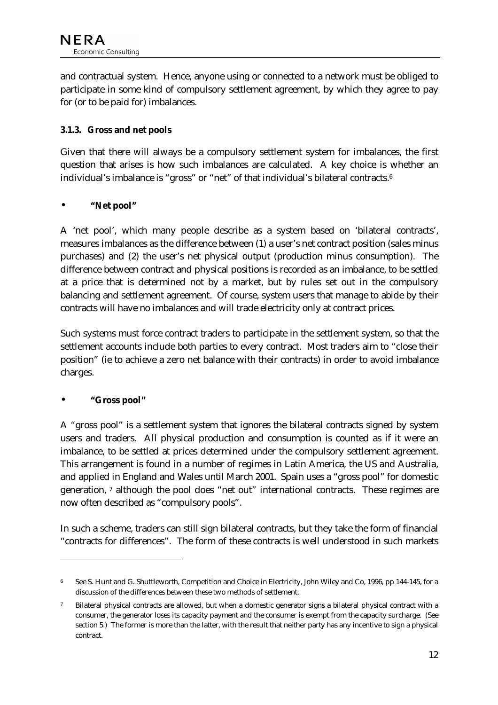and contractual system. Hence, anyone using or connected to a network must be obliged to participate in some kind of compulsory settlement agreement, by which they agree to pay for (or to be paid for) imbalances.

#### **3.1.3. Gross and net pools**

Given that there will always be a compulsory settlement system for imbalances, the first question that arises is how such imbalances are calculated. A key choice is whether an individual's imbalance is "gross" or "net" of that individual's bilateral contracts.6

#### • **"Net pool"**

A 'net pool', which many people describe as a system based on 'bilateral contracts', measures imbalances as the difference between (1) a user's net contract position (sales minus purchases) and (2) the user's net physical output (production minus consumption). The difference between contract and physical positions is recorded as an imbalance, to be settled at a price that is determined not by a market, but by rules set out in the compulsory balancing and settlement agreement. Of course, system users that manage to abide by their contracts will have no imbalances and will trade electricity only at contract prices.

Such systems must force contract traders to participate in the settlement system, so that the settlement accounts include both parties to every contract. Most traders aim to "close their position" (ie to achieve a zero net balance with their contracts) in order to avoid imbalance charges.

#### • **"Gross pool"**

 $\overline{a}$ 

A "gross pool" is a settlement system that ignores the bilateral contracts signed by system users and traders. All physical production and consumption is counted as if it were an imbalance, to be settled at prices determined under the compulsory settlement agreement. This arrangement is found in a number of regimes in Latin America, the US and Australia, and applied in England and Wales until March 2001. Spain uses a "gross pool" for domestic generation, 7 although the pool does "net out" international contracts. These regimes are now often described as "compulsory pools".

In such a scheme, traders can still sign bilateral contracts, but they take the form of financial "contracts for differences". The form of these contracts is well understood in such markets

<sup>6</sup> See S. Hunt and G. Shuttleworth, Competition and Choice in Electricity, John Wiley and Co, 1996, pp 144-145, for a discussion of the differences between these two methods of settlement.

<sup>7</sup> Bilateral physical contracts are allowed, but when a domestic generator signs a bilateral physical contract with a consumer, the generator loses its capacity payment and the consumer is exempt from the capacity surcharge. (See section 5.) The former is more than the latter, with the result that neither party has any incentive to sign a physical contract.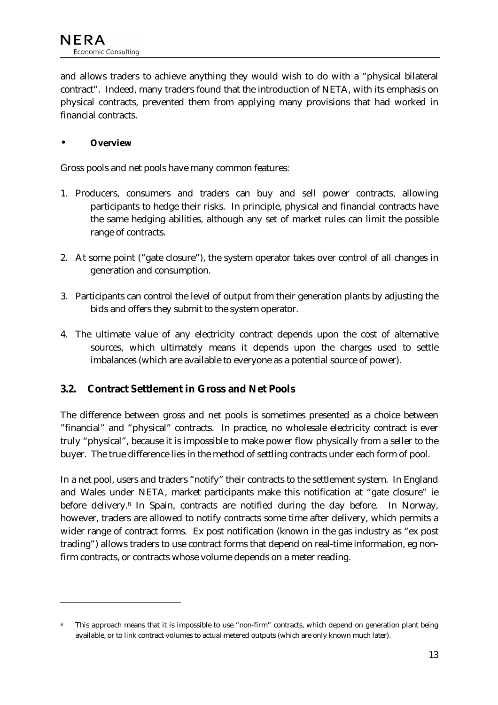<span id="page-13-0"></span>and allows traders to achieve anything they would wish to do with a "physical bilateral contract". Indeed, many traders found that the introduction of NETA, with its emphasis on physical contracts, prevented them from applying many provisions that had worked in financial contracts.

#### • **Overview**

 $\ddot{\phantom{a}}$ 

Gross pools and net pools have many common features:

- 1. Producers, consumers and traders can buy and sell power contracts, allowing participants to hedge their risks. In principle, physical and financial contracts have the same hedging abilities, although any set of market rules can limit the possible range of contracts.
- 2. At some point ("gate closure"), the system operator takes over control of all changes in generation and consumption.
- 3. Participants can control the level of output from their generation plants by adjusting the bids and offers they submit to the system operator.
- 4. The ultimate value of any electricity contract depends upon the cost of alternative sources, which ultimately means it depends upon the charges used to settle imbalances (which are available to everyone as a potential source of power).

#### **3.2. Contract Settlement in Gross and Net Pools**

The difference between gross and net pools is sometimes presented as a choice between "financial" and "physical" contracts. In practice, no wholesale electricity contract is ever truly "physical", because it is impossible to make power flow physically from a seller to the buyer. The true difference lies in the method of settling contracts under each form of pool.

In a net pool, users and traders "notify" their contracts to the settlement system. In England and Wales under NETA, market participants make this notification at "gate closure" ie before delivery.8 In Spain, contracts are notified during the day before. In Norway, however, traders are allowed to notify contracts some time after delivery, which permits a wider range of contract forms. Ex post notification (known in the gas industry as "ex post trading") allows traders to use contract forms that depend on real-time information, eg nonfirm contracts, or contracts whose volume depends on a meter reading.

This approach means that it is impossible to use "non-firm" contracts, which depend on generation plant being available, or to link contract volumes to actual metered outputs (which are only known much later).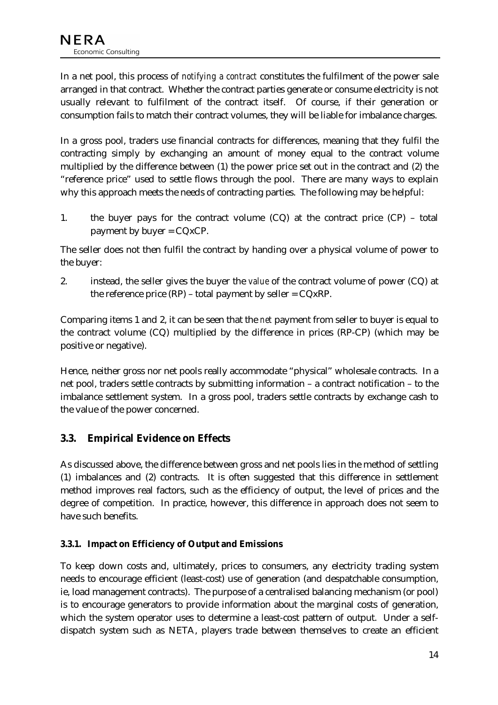<span id="page-14-0"></span>In a net pool, this process of *notifying a contract* constitutes the fulfilment of the power sale arranged in that contract. Whether the contract parties generate or consume electricity is not usually relevant to fulfilment of the contract itself. Of course, if their generation or consumption fails to match their contract volumes, they will be liable for imbalance charges.

In a gross pool, traders use financial contracts for differences, meaning that they fulfil the contracting simply by exchanging an amount of money equal to the contract volume multiplied by the difference between (1) the power price set out in the contract and (2) the "reference price" used to settle flows through the pool. There are many ways to explain why this approach meets the needs of contracting parties. The following may be helpful:

1. the buyer pays for the contract volume  $(CQ)$  at the contract price  $(CP)$  – total payment by buyer  $= CQxCP$ .

The seller does not then fulfil the contract by handing over a physical volume of power to the buyer:

2. instead, the seller gives the buyer the *value* of the contract volume of power (CQ) at the reference price  $(RP)$  – total payment by seller =  $CQxRP$ .

Comparing items 1 and 2, it can be seen that the *net* payment from seller to buyer is equal to the contract volume (CQ) multiplied by the difference in prices (RP-CP) (which may be positive or negative).

Hence, neither gross nor net pools really accommodate "physical" wholesale contracts. In a net pool, traders settle contracts by submitting information – a contract notification – to the imbalance settlement system. In a gross pool, traders settle contracts by exchange cash to the value of the power concerned.

# **3.3. Empirical Evidence on Effects**

As discussed above, the difference between gross and net pools lies in the method of settling (1) imbalances and (2) contracts. It is often suggested that this difference in settlement method improves real factors, such as the efficiency of output, the level of prices and the degree of competition. In practice, however, this difference in approach does not seem to have such benefits.

#### **3.3.1. Impact on Efficiency of Output and Emissions**

To keep down costs and, ultimately, prices to consumers, any electricity trading system needs to encourage efficient (least-cost) use of generation (and despatchable consumption, ie, load management contracts). The purpose of a centralised balancing mechanism (or pool) is to encourage generators to provide information about the marginal costs of generation, which the system operator uses to determine a least-cost pattern of output. Under a selfdispatch system such as NETA, players trade between themselves to create an efficient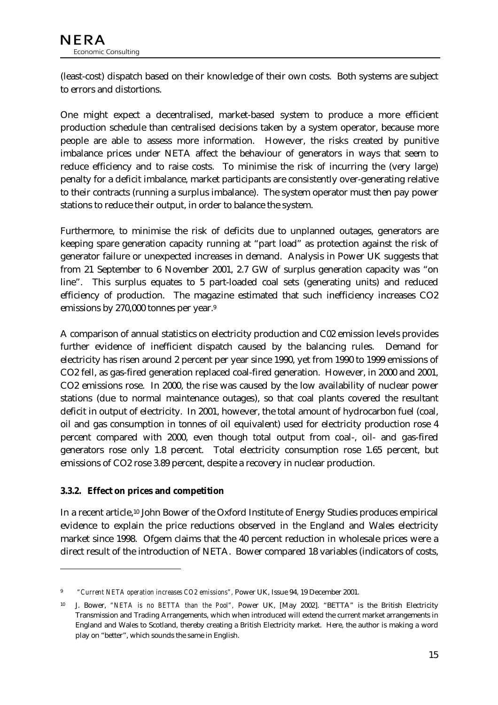(least-cost) dispatch based on their knowledge of their own costs. Both systems are subject to errors and distortions.

One might expect a decentralised, market-based system to produce a more efficient production schedule than centralised decisions taken by a system operator, because more people are able to assess more information. However, the risks created by punitive imbalance prices under NETA affect the behaviour of generators in ways that seem to reduce efficiency and to raise costs. To minimise the risk of incurring the (very large) penalty for a deficit imbalance, market participants are consistently over-generating relative to their contracts (running a surplus imbalance). The system operator must then pay power stations to reduce their output, in order to balance the system.

Furthermore, to minimise the risk of deficits due to unplanned outages, generators are keeping spare generation capacity running at "part load" as protection against the risk of generator failure or unexpected increases in demand. Analysis in Power UK suggests that from 21 September to 6 November 2001, 2.7 GW of surplus generation capacity was "on line". This surplus equates to 5 part-loaded coal sets (generating units) and reduced efficiency of production. The magazine estimated that such inefficiency increases CO2 emissions by 270,000 tonnes per year.9

A comparison of annual statistics on electricity production and C02 emission levels provides further evidence of inefficient dispatch caused by the balancing rules. Demand for electricity has risen around 2 percent per year since 1990, yet from 1990 to 1999 emissions of CO2 fell, as gas-fired generation replaced coal-fired generation. However, in 2000 and 2001, CO2 emissions rose. In 2000, the rise was caused by the low availability of nuclear power stations (due to normal maintenance outages), so that coal plants covered the resultant deficit in output of electricity. In 2001, however, the total amount of hydrocarbon fuel (coal, oil and gas consumption in tonnes of oil equivalent) used for electricity production rose 4 percent compared with 2000, even though total output from coal-, oil- and gas-fired generators rose only 1.8 percent. Total electricity consumption rose 1.65 percent, but emissions of CO2 rose 3.89 percent, despite a recovery in nuclear production.

#### **3.3.2. Effect on prices and competition**

 $\ddot{\phantom{a}}$ 

In a recent article,10 John Bower of the Oxford Institute of Energy Studies produces empirical evidence to explain the price reductions observed in the England and Wales electricity market since 1998. Ofgem claims that the 40 percent reduction in wholesale prices were a direct result of the introduction of NETA. Bower compared 18 variables (indicators of costs,

<sup>9</sup> *"Current NETA operation increases CO2 emissions",* Power UK, Issue 94, 19 December 2001.

<sup>10</sup> J. Bower, *"NETA is no BETTA than the Pool",* Power UK, [May 2002]. "BETTA" is the British Electricity Transmission and Trading Arrangements, which when introduced will extend the current market arrangements in England and Wales to Scotland, thereby creating a British Electricity market. Here, the author is making a word play on "better", which sounds the same in English.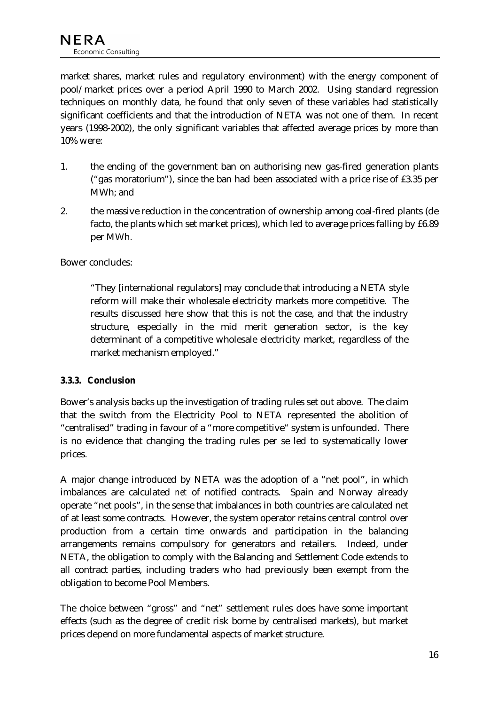market shares, market rules and regulatory environment) with the energy component of pool/market prices over a period April 1990 to March 2002. Using standard regression techniques on monthly data, he found that only seven of these variables had statistically significant coefficients and that the introduction of NETA was not one of them. In recent years (1998-2002), the only significant variables that affected average prices by more than 10% were:

- 1. the ending of the government ban on authorising new gas-fired generation plants ("gas moratorium"), since the ban had been associated with a price rise of £3.35 per MWh; and
- 2. the massive reduction in the concentration of ownership among coal-fired plants (de facto, the plants which set market prices), which led to average prices falling by £6.89 per MWh.

Bower concludes:

"They [international regulators] may conclude that introducing a NETA style reform will make their wholesale electricity markets more competitive. The results discussed here show that this is not the case, and that the industry structure, especially in the mid merit generation sector, is the key determinant of a competitive wholesale electricity market, regardless of the market mechanism employed."

#### **3.3.3. Conclusion**

Bower's analysis backs up the investigation of trading rules set out above. The claim that the switch from the Electricity Pool to NETA represented the abolition of "centralised" trading in favour of a "more competitive" system is unfounded. There is no evidence that changing the trading rules per se led to systematically lower prices.

A major change introduced by NETA was the adoption of a "net pool", in which imbalances are calculated *net* of notified contracts. Spain and Norway already operate "net pools", in the sense that imbalances in both countries are calculated net of at least some contracts. However, the system operator retains central control over production from a certain time onwards and participation in the balancing arrangements remains compulsory for generators and retailers. Indeed, under NETA, the obligation to comply with the Balancing and Settlement Code extends to all contract parties, including traders who had previously been exempt from the obligation to become Pool Members.

The choice between "gross" and "net" settlement rules does have some important effects (such as the degree of credit risk borne by centralised markets), but market prices depend on more fundamental aspects of market structure.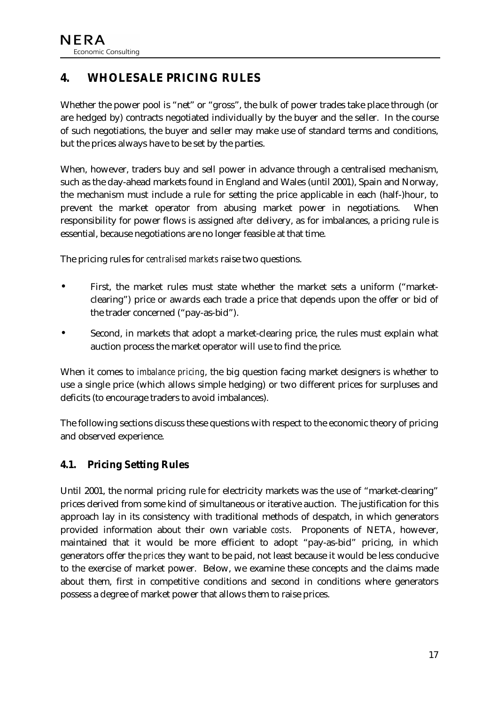# <span id="page-17-0"></span>**4. WHOLESALE PRICING RULES**

Whether the power pool is "net" or "gross", the bulk of power trades take place through (or are hedged by) contracts negotiated individually by the buyer and the seller. In the course of such negotiations, the buyer and seller may make use of standard terms and conditions, but the prices always have to be set by the parties.

When, however, traders buy and sell power in advance through a centralised mechanism, such as the day-ahead markets found in England and Wales (until 2001), Spain and Norway, the mechanism must include a rule for setting the price applicable in each (half-)hour, to prevent the market operator from abusing market power in negotiations. When responsibility for power flows is assigned *after* delivery, as for imbalances, a pricing rule is essential, because negotiations are no longer feasible at that time.

The pricing rules for *centralised markets* raise two questions.

- First, the market rules must state whether the market sets a uniform ("marketclearing") price or awards each trade a price that depends upon the offer or bid of the trader concerned ("pay-as-bid").
- Second, in markets that adopt a market-clearing price, the rules must explain what auction process the market operator will use to find the price.

When it comes to *imbalance pricing*, the big question facing market designers is whether to use a single price (which allows simple hedging) or two different prices for surpluses and deficits (to encourage traders to avoid imbalances).

The following sections discuss these questions with respect to the economic theory of pricing and observed experience.

## **4.1. Pricing Setting Rules**

Until 2001, the normal pricing rule for electricity markets was the use of "market-clearing" prices derived from some kind of simultaneous or iterative auction. The justification for this approach lay in its consistency with traditional methods of despatch, in which generators provided information about their own variable *costs*. Proponents of NETA, however, maintained that it would be more efficient to adopt "pay-as-bid" pricing, in which generators offer the *prices* they want to be paid, not least because it would be less conducive to the exercise of market power. Below, we examine these concepts and the claims made about them, first in competitive conditions and second in conditions where generators possess a degree of market power that allows them to raise prices.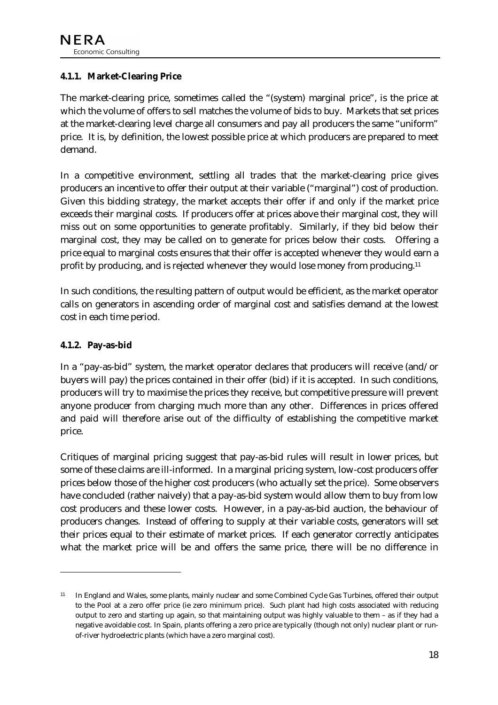#### **4.1.1. Market-Clearing Price**

The market-clearing price, sometimes called the "(system) marginal price", is the price at which the volume of offers to sell matches the volume of bids to buy. Markets that set prices at the market-clearing level charge all consumers and pay all producers the same "uniform" price. It is, by definition, the lowest possible price at which producers are prepared to meet demand.

In a competitive environment, settling all trades that the market-clearing price gives producers an incentive to offer their output at their variable ("marginal") cost of production. Given this bidding strategy, the market accepts their offer if and only if the market price exceeds their marginal costs. If producers offer at prices above their marginal cost, they will miss out on some opportunities to generate profitably. Similarly, if they bid below their marginal cost, they may be called on to generate for prices below their costs. Offering a price equal to marginal costs ensures that their offer is accepted whenever they would earn a profit by producing, and is rejected whenever they would lose money from producing.11

In such conditions, the resulting pattern of output would be efficient, as the market operator calls on generators in ascending order of marginal cost and satisfies demand at the lowest cost in each time period.

#### **4.1.2. Pay-as-bid**

 $\overline{a}$ 

In a "pay-as-bid" system, the market operator declares that producers will receive (and/or buyers will pay) the prices contained in their offer (bid) if it is accepted. In such conditions, producers will try to maximise the prices they receive, but competitive pressure will prevent anyone producer from charging much more than any other. Differences in prices offered and paid will therefore arise out of the difficulty of establishing the competitive market price.

Critiques of marginal pricing suggest that pay-as-bid rules will result in lower prices, but some of these claims are ill-informed. In a marginal pricing system, low-cost producers offer prices below those of the higher cost producers (who actually set the price). Some observers have concluded (rather naively) that a pay-as-bid system would allow them to buy from low cost producers and these lower costs. However, in a pay-as-bid auction, the behaviour of producers changes. Instead of offering to supply at their variable costs, generators will set their prices equal to their estimate of market prices. If each generator correctly anticipates what the market price will be and offers the same price, there will be no difference in

<sup>11</sup> In England and Wales, some plants, mainly nuclear and some Combined Cycle Gas Turbines, offered their output to the Pool at a zero offer price (ie zero minimum price). Such plant had high costs associated with reducing output to zero and starting up again, so that maintaining output was highly valuable to them – as if they had a negative avoidable cost. In Spain, plants offering a zero price are typically (though not only) nuclear plant or runof-river hydroelectric plants (which have a zero marginal cost).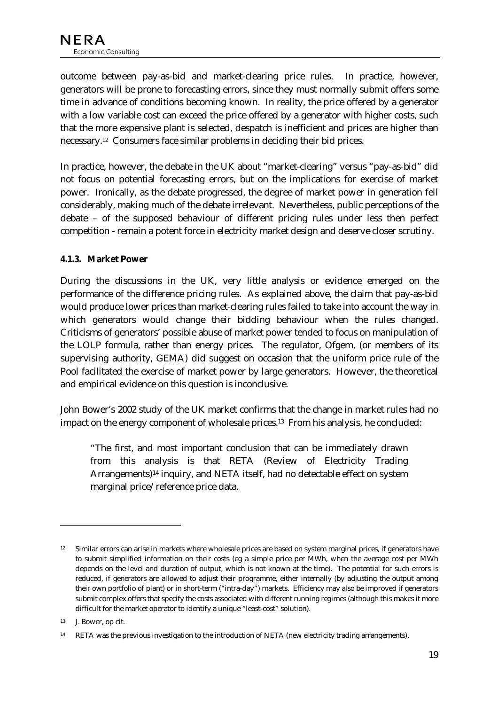outcome between pay-as-bid and market-clearing price rules. In practice, however, generators will be prone to forecasting errors, since they must normally submit offers some time in advance of conditions becoming known. In reality, the price offered by a generator with a low variable cost can exceed the price offered by a generator with higher costs, such that the more expensive plant is selected, despatch is inefficient and prices are higher than necessary.12 Consumers face similar problems in deciding their bid prices.

In practice, however, the debate in the UK about "market-clearing" versus "pay-as-bid" did not focus on potential forecasting errors, but on the implications for exercise of market power. Ironically, as the debate progressed, the degree of market power in generation fell considerably, making much of the debate irrelevant. Nevertheless, public perceptions of the debate – of the supposed behaviour of different pricing rules under less then perfect competition - remain a potent force in electricity market design and deserve closer scrutiny.

#### **4.1.3. Market Power**

During the discussions in the UK, very little analysis or evidence emerged on the performance of the difference pricing rules. As explained above, the claim that pay-as-bid would produce lower prices than market-clearing rules failed to take into account the way in which generators would change their bidding behaviour when the rules changed. Criticisms of generators' possible abuse of market power tended to focus on manipulation of the LOLP formula, rather than energy prices. The regulator, Ofgem, (or members of its supervising authority, GEMA) did suggest on occasion that the uniform price rule of the Pool facilitated the exercise of market power by large generators. However, the theoretical and empirical evidence on this question is inconclusive.

John Bower's 2002 study of the UK market confirms that the change in market rules had no impact on the energy component of wholesale prices.<sup>13</sup> From his analysis, he concluded:

"The first, and most important conclusion that can be immediately drawn from this analysis is that RETA (Review of Electricity Trading Arrangements)14 inquiry, and NETA itself, had no detectable effect on system marginal price/reference price data.

 $\ddot{\phantom{a}}$ 

<sup>&</sup>lt;sup>12</sup> Similar errors can arise in markets where wholesale prices are based on system marginal prices, if generators have to submit simplified information on their costs (eg a simple price per MWh, when the average cost per MWh depends on the level and duration of output, which is not known at the time). The potential for such errors is reduced, if generators are allowed to adjust their programme, either internally (by adjusting the output among their own portfolio of plant) or in short-term ("intra-day") markets. Efficiency may also be improved if generators submit complex offers that specify the costs associated with different running regimes (although this makes it more difficult for the market operator to identify a unique "least-cost" solution).

<sup>&</sup>lt;sup>13</sup> J. Bower, op cit.

<sup>14</sup> RETA was the previous investigation to the introduction of NETA (new electricity trading arrangements).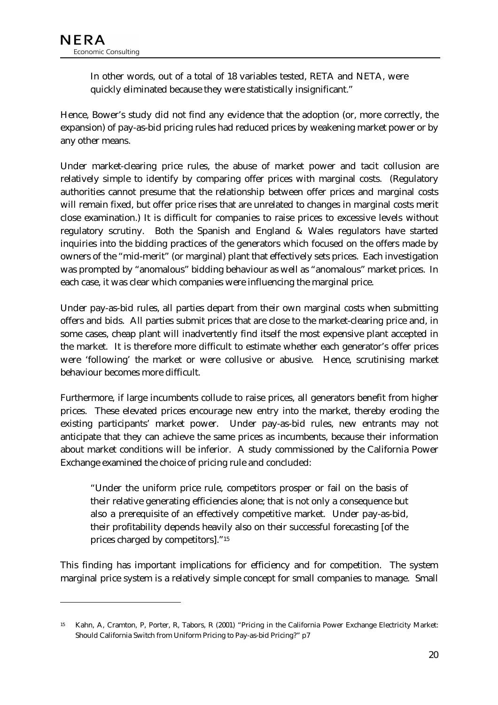$\ddot{\phantom{a}}$ 

In other words, out of a total of 18 variables tested, RETA and NETA, were quickly eliminated because they were statistically insignificant."

Hence, Bower's study did not find any evidence that the adoption (or, more correctly, the expansion) of pay-as-bid pricing rules had reduced prices by weakening market power or by any other means.

Under market-clearing price rules, the abuse of market power and tacit collusion are relatively simple to identify by comparing offer prices with marginal costs. (Regulatory authorities cannot presume that the relationship between offer prices and marginal costs will remain fixed, but offer price rises that are unrelated to changes in marginal costs merit close examination.) It is difficult for companies to raise prices to excessive levels without regulatory scrutiny. Both the Spanish and England & Wales regulators have started inquiries into the bidding practices of the generators which focused on the offers made by owners of the "mid-merit" (or marginal) plant that effectively sets prices. Each investigation was prompted by "anomalous" bidding behaviour as well as "anomalous" market prices. In each case, it was clear which companies were influencing the marginal price.

Under pay-as-bid rules, all parties depart from their own marginal costs when submitting offers and bids. All parties submit prices that are close to the market-clearing price and, in some cases, cheap plant will inadvertently find itself the most expensive plant accepted in the market. It is therefore more difficult to estimate whether each generator's offer prices were 'following' the market or were collusive or abusive. Hence, scrutinising market behaviour becomes more difficult.

Furthermore, if large incumbents collude to raise prices, all generators benefit from higher prices. These elevated prices encourage new entry into the market, thereby eroding the existing participants' market power. Under pay-as-bid rules, new entrants may not anticipate that they can achieve the same prices as incumbents, because their information about market conditions will be inferior. A study commissioned by the California Power Exchange examined the choice of pricing rule and concluded:

"Under the uniform price rule, competitors prosper or fail on the basis of their relative generating efficiencies alone; that is not only a consequence but also a prerequisite of an effectively competitive market. Under pay-as-bid, their profitability depends heavily also on their successful forecasting [of the prices charged by competitors]."15

This finding has important implications for efficiency and for competition. The system marginal price system is a relatively simple concept for small companies to manage. Small

<sup>15</sup> Kahn, A, Cramton, P, Porter, R, Tabors, R (2001) "Pricing in the California Power Exchange Electricity Market: Should California Switch from Uniform Pricing to Pay-as-bid Pricing?" p7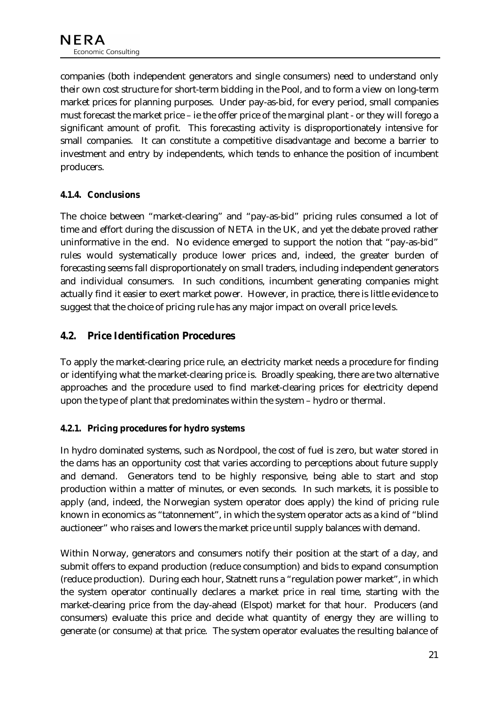<span id="page-21-0"></span>companies (both independent generators and single consumers) need to understand only their own cost structure for short-term bidding in the Pool, and to form a view on long-term market prices for planning purposes. Under pay-as-bid, for every period, small companies must forecast the market price – ie the offer price of the marginal plant - or they will forego a significant amount of profit. This forecasting activity is disproportionately intensive for small companies. It can constitute a competitive disadvantage and become a barrier to investment and entry by independents, which tends to enhance the position of incumbent producers.

#### **4.1.4. Conclusions**

The choice between "market-clearing" and "pay-as-bid" pricing rules consumed a lot of time and effort during the discussion of NETA in the UK, and yet the debate proved rather uninformative in the end. No evidence emerged to support the notion that "pay-as-bid" rules would systematically produce lower prices and, indeed, the greater burden of forecasting seems fall disproportionately on small traders, including independent generators and individual consumers. In such conditions, incumbent generating companies might actually find it easier to exert market power. However, in practice, there is little evidence to suggest that the choice of pricing rule has any major impact on overall price levels.

### **4.2. Price Identification Procedures**

To apply the market-clearing price rule, an electricity market needs a procedure for finding or identifying what the market-clearing price is. Broadly speaking, there are two alternative approaches and the procedure used to find market-clearing prices for electricity depend upon the type of plant that predominates within the system – hydro or thermal.

#### **4.2.1. Pricing procedures for hydro systems**

In hydro dominated systems, such as Nordpool, the cost of fuel is zero, but water stored in the dams has an opportunity cost that varies according to perceptions about future supply and demand. Generators tend to be highly responsive, being able to start and stop production within a matter of minutes, or even seconds. In such markets, it is possible to apply (and, indeed, the Norwegian system operator does apply) the kind of pricing rule known in economics as "tatonnement", in which the system operator acts as a kind of "blind auctioneer" who raises and lowers the market price until supply balances with demand.

Within Norway, generators and consumers notify their position at the start of a day, and submit offers to expand production (reduce consumption) and bids to expand consumption (reduce production). During each hour, Statnett runs a "regulation power market", in which the system operator continually declares a market price in real time, starting with the market-clearing price from the day-ahead (Elspot) market for that hour. Producers (and consumers) evaluate this price and decide what quantity of energy they are willing to generate (or consume) at that price. The system operator evaluates the resulting balance of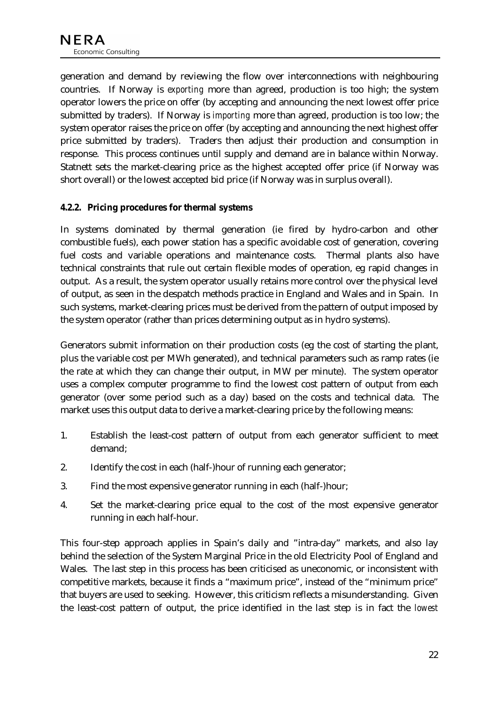generation and demand by reviewing the flow over interconnections with neighbouring countries. If Norway is *exporting* more than agreed, production is too high; the system operator lowers the price on offer (by accepting and announcing the next lowest offer price submitted by traders). If Norway is *importing* more than agreed, production is too low; the system operator raises the price on offer (by accepting and announcing the next highest offer price submitted by traders). Traders then adjust their production and consumption in response. This process continues until supply and demand are in balance within Norway. Statnett sets the market-clearing price as the highest accepted offer price (if Norway was short overall) or the lowest accepted bid price (if Norway was in surplus overall).

#### **4.2.2. Pricing procedures for thermal systems**

In systems dominated by thermal generation (ie fired by hydro-carbon and other combustible fuels), each power station has a specific avoidable cost of generation, covering fuel costs and variable operations and maintenance costs. Thermal plants also have technical constraints that rule out certain flexible modes of operation, eg rapid changes in output. As a result, the system operator usually retains more control over the physical level of output, as seen in the despatch methods practice in England and Wales and in Spain. In such systems, market-clearing prices must be derived from the pattern of output imposed by the system operator (rather than prices determining output as in hydro systems).

Generators submit information on their production costs (eg the cost of starting the plant, plus the variable cost per MWh generated), and technical parameters such as ramp rates (ie the rate at which they can change their output, in MW per minute). The system operator uses a complex computer programme to find the lowest cost pattern of output from each generator (over some period such as a day) based on the costs and technical data. The market uses this output data to derive a market-clearing price by the following means:

- 1. Establish the least-cost pattern of output from each generator sufficient to meet demand;
- 2. Identify the cost in each (half-)hour of running each generator;
- 3. Find the most expensive generator running in each (half-)hour;
- 4. Set the market-clearing price equal to the cost of the most expensive generator running in each half-hour.

This four-step approach applies in Spain's daily and "intra-day" markets, and also lay behind the selection of the System Marginal Price in the old Electricity Pool of England and Wales. The last step in this process has been criticised as uneconomic, or inconsistent with competitive markets, because it finds a "maximum price", instead of the "minimum price" that buyers are used to seeking. However, this criticism reflects a misunderstanding. Given the least-cost pattern of output, the price identified in the last step is in fact the *lowest*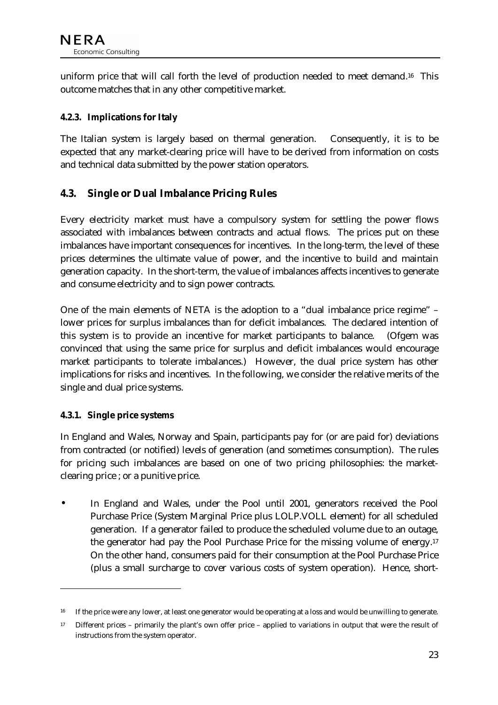<span id="page-23-0"></span>uniform price that will call forth the level of production needed to meet demand.16 This outcome matches that in any other competitive market.

#### **4.2.3. Implications for Italy**

The Italian system is largely based on thermal generation. Consequently, it is to be expected that any market-clearing price will have to be derived from information on costs and technical data submitted by the power station operators.

## **4.3. Single or Dual Imbalance Pricing Rules**

Every electricity market must have a compulsory system for settling the power flows associated with imbalances between contracts and actual flows. The prices put on these imbalances have important consequences for incentives. In the long-term, the level of these prices determines the ultimate value of power, and the incentive to build and maintain generation capacity. In the short-term, the value of imbalances affects incentives to generate and consume electricity and to sign power contracts.

One of the main elements of NETA is the adoption to a "dual imbalance price regime" – lower prices for surplus imbalances than for deficit imbalances. The declared intention of this system is to provide an incentive for market participants to balance. (Ofgem was convinced that using the same price for surplus and deficit imbalances would encourage market participants to tolerate imbalances.) However, the dual price system has other implications for risks and incentives. In the following, we consider the relative merits of the single and dual price systems.

#### **4.3.1. Single price systems**

 $\overline{a}$ 

In England and Wales, Norway and Spain, participants pay for (or are paid for) deviations from contracted (or notified) levels of generation (and sometimes consumption). The rules for pricing such imbalances are based on one of two pricing philosophies: the marketclearing price ; or a punitive price.

• In England and Wales, under the Pool until 2001, generators received the Pool Purchase Price (System Marginal Price plus LOLP.VOLL element) for all scheduled generation. If a generator failed to produce the scheduled volume due to an outage, the generator had pay the Pool Purchase Price for the missing volume of energy.17 On the other hand, consumers paid for their consumption at the Pool Purchase Price (plus a small surcharge to cover various costs of system operation). Hence, short-

<sup>&</sup>lt;sup>16</sup> If the price were any lower, at least one generator would be operating at a loss and would be unwilling to generate.

<sup>17</sup> Different prices – primarily the plant's own offer price – applied to variations in output that were the result of instructions from the system operator.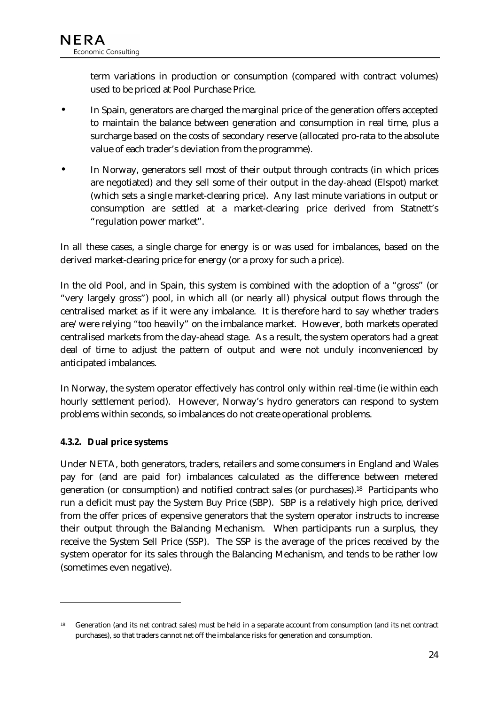term variations in production or consumption (compared with contract volumes) used to be priced at Pool Purchase Price.

- In Spain, generators are charged the marginal price of the generation offers accepted to maintain the balance between generation and consumption in real time, plus a surcharge based on the costs of secondary reserve (allocated pro-rata to the absolute value of each trader's deviation from the programme).
- In Norway, generators sell most of their output through contracts (in which prices are negotiated) and they sell some of their output in the day-ahead (Elspot) market (which sets a single market-clearing price). Any last minute variations in output or consumption are settled at a market-clearing price derived from Statnett's "regulation power market".

In all these cases, a single charge for energy is or was used for imbalances, based on the derived market-clearing price for energy (or a proxy for such a price).

In the old Pool, and in Spain, this system is combined with the adoption of a "gross" (or "very largely gross") pool, in which all (or nearly all) physical output flows through the centralised market as if it were any imbalance. It is therefore hard to say whether traders are/were relying "too heavily" on the imbalance market. However, both markets operated centralised markets from the day-ahead stage. As a result, the system operators had a great deal of time to adjust the pattern of output and were not unduly inconvenienced by anticipated imbalances.

In Norway, the system operator effectively has control only within real-time (ie within each hourly settlement period). However, Norway's hydro generators can respond to system problems within seconds, so imbalances do not create operational problems.

#### **4.3.2. Dual price systems**

 $\ddot{\phantom{a}}$ 

Under NETA, both generators, traders, retailers and some consumers in England and Wales pay for (and are paid for) imbalances calculated as the difference between metered generation (or consumption) and notified contract sales (or purchases).18 Participants who run a deficit must pay the System Buy Price (SBP). SBP is a relatively high price, derived from the offer prices of expensive generators that the system operator instructs to increase their output through the Balancing Mechanism. When participants run a surplus, they receive the System Sell Price (SSP). The SSP is the average of the prices received by the system operator for its sales through the Balancing Mechanism, and tends to be rather low (sometimes even negative).

<sup>18</sup> Generation (and its net contract sales) must be held in a separate account from consumption (and its net contract purchases), so that traders cannot net off the imbalance risks for generation and consumption.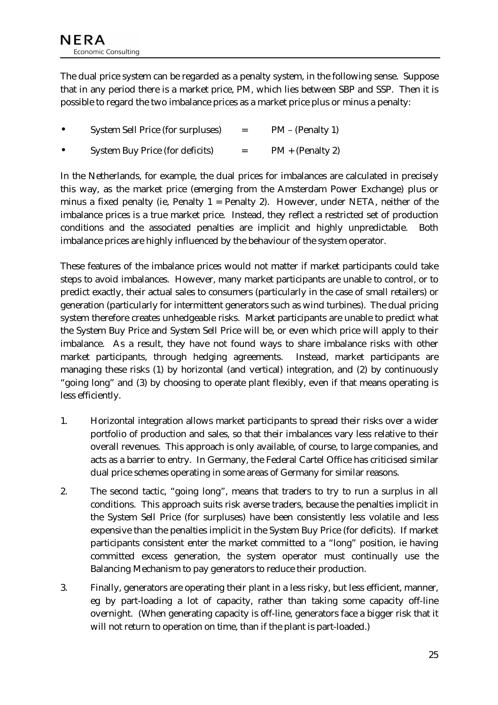The dual price system can be regarded as a penalty system, in the following sense. Suppose that in any period there is a market price, PM, which lies between SBP and SSP. Then it is possible to regard the two imbalance prices as a market price plus or minus a penalty:

|  | System Sell Price (for surpluses) |  | $PM - (Penalty 1)$ |
|--|-----------------------------------|--|--------------------|
|--|-----------------------------------|--|--------------------|

System Buy Price (for deficits)  $= PM + (Penalty 2)$ 

In the Netherlands, for example, the dual prices for imbalances are calculated in precisely this way, as the market price (emerging from the Amsterdam Power Exchange) plus or minus a fixed penalty (ie, Penalty  $1 =$  Penalty 2). However, under NETA, neither of the imbalance prices is a true market price. Instead, they reflect a restricted set of production conditions and the associated penalties are implicit and highly unpredictable. Both imbalance prices are highly influenced by the behaviour of the system operator.

These features of the imbalance prices would not matter if market participants could take steps to avoid imbalances. However, many market participants are unable to control, or to predict exactly, their actual sales to consumers (particularly in the case of small retailers) or generation (particularly for intermittent generators such as wind turbines). The dual pricing system therefore creates unhedgeable risks. Market participants are unable to predict what the System Buy Price and System Sell Price will be, or even which price will apply to their imbalance. As a result, they have not found ways to share imbalance risks with other market participants, through hedging agreements. Instead, market participants are managing these risks (1) by horizontal (and vertical) integration, and (2) by continuously "going long" and (3) by choosing to operate plant flexibly, even if that means operating is less efficiently.

- 1. Horizontal integration allows market participants to spread their risks over a wider portfolio of production and sales, so that their imbalances vary less relative to their overall revenues. This approach is only available, of course, to large companies, and acts as a barrier to entry. In Germany, the Federal Cartel Office has criticised similar dual price schemes operating in some areas of Germany for similar reasons.
- 2. The second tactic, "going long", means that traders to try to run a surplus in all conditions. This approach suits risk averse traders, because the penalties implicit in the System Sell Price (for surpluses) have been consistently less volatile and less expensive than the penalties implicit in the System Buy Price (for deficits). If market participants consistent enter the market committed to a "long" position, ie having committed excess generation, the system operator must continually use the Balancing Mechanism to pay generators to reduce their production.
- 3. Finally, generators are operating their plant in a less risky, but less efficient, manner, eg by part-loading a lot of capacity, rather than taking some capacity off-line overnight. (When generating capacity is off-line, generators face a bigger risk that it will not return to operation on time, than if the plant is part-loaded.)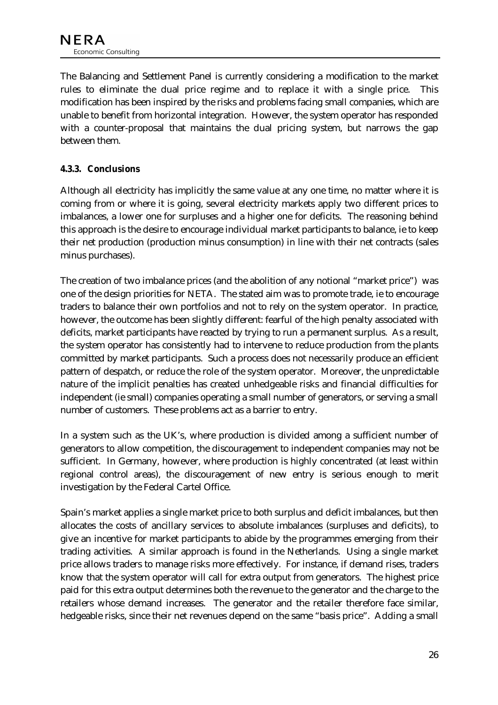The Balancing and Settlement Panel is currently considering a modification to the market rules to eliminate the dual price regime and to replace it with a single price. This modification has been inspired by the risks and problems facing small companies, which are unable to benefit from horizontal integration. However, the system operator has responded with a counter-proposal that maintains the dual pricing system, but narrows the gap between them.

#### **4.3.3. Conclusions**

Although all electricity has implicitly the same value at any one time, no matter where it is coming from or where it is going, several electricity markets apply two different prices to imbalances, a lower one for surpluses and a higher one for deficits. The reasoning behind this approach is the desire to encourage individual market participants to balance, ie to keep their net production (production minus consumption) in line with their net contracts (sales minus purchases).

The creation of two imbalance prices (and the abolition of any notional "market price") was one of the design priorities for NETA. The stated aim was to promote trade, ie to encourage traders to balance their own portfolios and not to rely on the system operator. In practice, however, the outcome has been slightly different: fearful of the high penalty associated with deficits, market participants have reacted by trying to run a permanent surplus. As a result, the system operator has consistently had to intervene to reduce production from the plants committed by market participants. Such a process does not necessarily produce an efficient pattern of despatch, or reduce the role of the system operator. Moreover, the unpredictable nature of the implicit penalties has created unhedgeable risks and financial difficulties for independent (ie small) companies operating a small number of generators, or serving a small number of customers. These problems act as a barrier to entry.

In a system such as the UK's, where production is divided among a sufficient number of generators to allow competition, the discouragement to independent companies may not be sufficient. In Germany, however, where production is highly concentrated (at least within regional control areas), the discouragement of new entry is serious enough to merit investigation by the Federal Cartel Office.

Spain's market applies a single market price to both surplus and deficit imbalances, but then allocates the costs of ancillary services to absolute imbalances (surpluses and deficits), to give an incentive for market participants to abide by the programmes emerging from their trading activities. A similar approach is found in the Netherlands. Using a single market price allows traders to manage risks more effectively. For instance, if demand rises, traders know that the system operator will call for extra output from generators. The highest price paid for this extra output determines both the revenue to the generator and the charge to the retailers whose demand increases. The generator and the retailer therefore face similar, hedgeable risks, since their net revenues depend on the same "basis price". Adding a small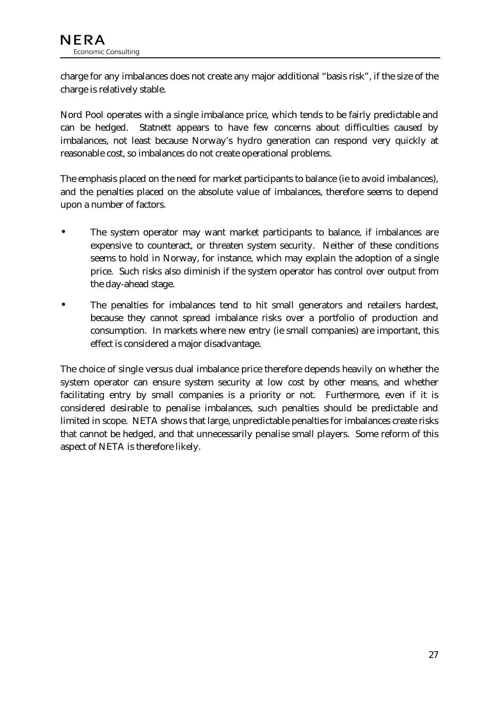charge for any imbalances does not create any major additional "basis risk", if the size of the charge is relatively stable.

Nord Pool operates with a single imbalance price, which tends to be fairly predictable and can be hedged. Statnett appears to have few concerns about difficulties caused by imbalances, not least because Norway's hydro generation can respond very quickly at reasonable cost, so imbalances do not create operational problems.

The emphasis placed on the need for market participants to balance (ie to avoid imbalances), and the penalties placed on the absolute value of imbalances, therefore seems to depend upon a number of factors.

- The system operator may want market participants to balance, if imbalances are expensive to counteract, or threaten system security. Neither of these conditions seems to hold in Norway, for instance, which may explain the adoption of a single price. Such risks also diminish if the system operator has control over output from the day-ahead stage.
- The penalties for imbalances tend to hit small generators and retailers hardest, because they cannot spread imbalance risks over a portfolio of production and consumption. In markets where new entry (ie small companies) are important, this effect is considered a major disadvantage.

The choice of single versus dual imbalance price therefore depends heavily on whether the system operator can ensure system security at low cost by other means, and whether facilitating entry by small companies is a priority or not. Furthermore, even if it is considered desirable to penalise imbalances, such penalties should be predictable and limited in scope. NETA shows that large, unpredictable penalties for imbalances create risks that cannot be hedged, and that unnecessarily penalise small players. Some reform of this aspect of NETA is therefore likely.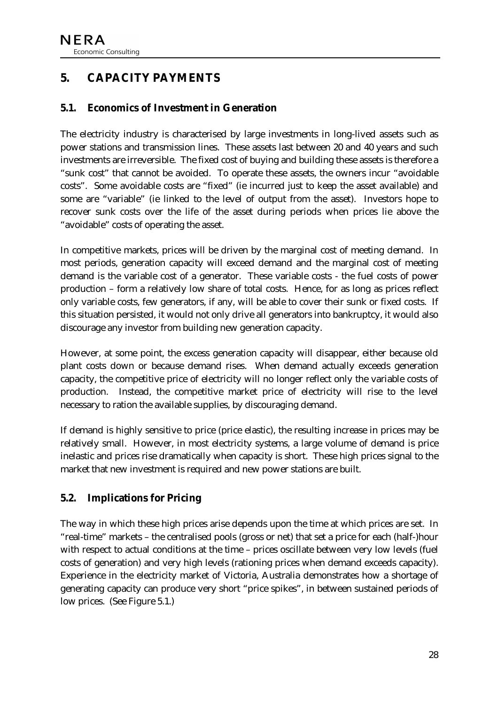# <span id="page-28-0"></span>**5. CAPACITY PAYMENTS**

## **5.1. Economics of Investment in Generation**

The electricity industry is characterised by large investments in long-lived assets such as power stations and transmission lines. These assets last between 20 and 40 years and such investments are irreversible. The fixed cost of buying and building these assets is therefore a "sunk cost" that cannot be avoided. To operate these assets, the owners incur "avoidable costs". Some avoidable costs are "fixed" (ie incurred just to keep the asset available) and some are "variable" (ie linked to the level of output from the asset). Investors hope to recover sunk costs over the life of the asset during periods when prices lie above the "avoidable" costs of operating the asset.

In competitive markets, prices will be driven by the marginal cost of meeting demand. In most periods, generation capacity will exceed demand and the marginal cost of meeting demand is the variable cost of a generator. These variable costs - the fuel costs of power production – form a relatively low share of total costs. Hence, for as long as prices reflect only variable costs, few generators, if any, will be able to cover their sunk or fixed costs. If this situation persisted, it would not only drive all generators into bankruptcy, it would also discourage any investor from building new generation capacity.

However, at some point, the excess generation capacity will disappear, either because old plant costs down or because demand rises. When demand actually exceeds generation capacity, the competitive price of electricity will no longer reflect only the variable costs of production. Instead, the competitive market price of electricity will rise to the level necessary to ration the available supplies, by discouraging demand.

If demand is highly sensitive to price (price elastic), the resulting increase in prices may be relatively small. However, in most electricity systems, a large volume of demand is price inelastic and prices rise dramatically when capacity is short. These high prices signal to the market that new investment is required and new power stations are built.

# **5.2. Implications for Pricing**

The way in which these high prices arise depends upon the time at which prices are set. In "real-time" markets – the centralised pools (gross or net) that set a price for each (half-)hour with respect to actual conditions at the time – prices oscillate between very low levels (fuel costs of generation) and very high levels (rationing prices when demand exceeds capacity). Experience in the electricity market of Victoria, Australia demonstrates how a shortage of generating capacity can produce very short "price spikes", in between sustained periods of low prices. (See [Figure 5.1.](#page-29-0))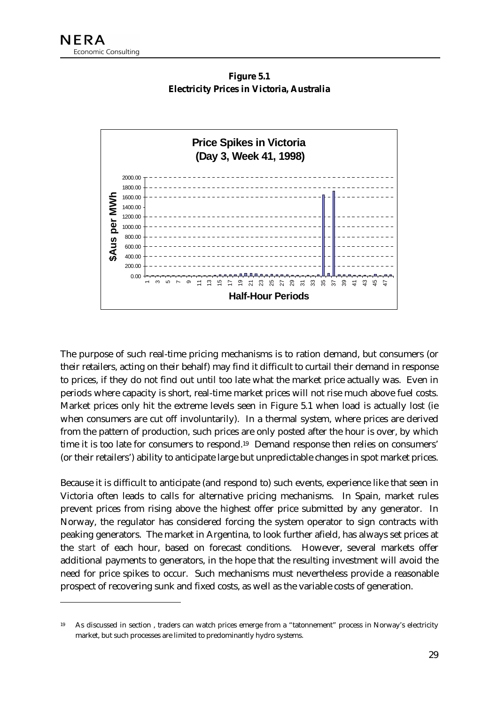$\ddot{\phantom{a}}$ 



<span id="page-29-0"></span>

The purpose of such real-time pricing mechanisms is to ration demand, but consumers (or their retailers, acting on their behalf) may find it difficult to curtail their demand in response to prices, if they do not find out until too late what the market price actually was. Even in periods where capacity is short, real-time market prices will not rise much above fuel costs. Market prices only hit the extreme levels seen in Figure 5.1 when load is actually lost (ie when consumers are cut off involuntarily). In a thermal system, where prices are derived from the pattern of production, such prices are only posted after the hour is over, by which time it is too late for consumers to respond.19 Demand response then relies on consumers' (or their retailers') ability to anticipate large but unpredictable changes in spot market prices.

Because it is difficult to anticipate (and respond to) such events, experience like that seen in Victoria often leads to calls for alternative pricing mechanisms. In Spain, market rules prevent prices from rising above the highest offer price submitted by any generator. In Norway, the regulator has considered forcing the system operator to sign contracts with peaking generators. The market in Argentina, to look further afield, has always set prices at the *start* of each hour, based on forecast conditions. However, several markets offer additional payments to generators, in the hope that the resulting investment will avoid the need for price spikes to occur. Such mechanisms must nevertheless provide a reasonable prospect of recovering sunk and fixed costs, as well as the variable costs of generation.

<sup>19</sup> As discussed in section , traders can watch prices emerge from a "tatonnement" process in Norway's electricity market, but such processes are limited to predominantly hydro systems.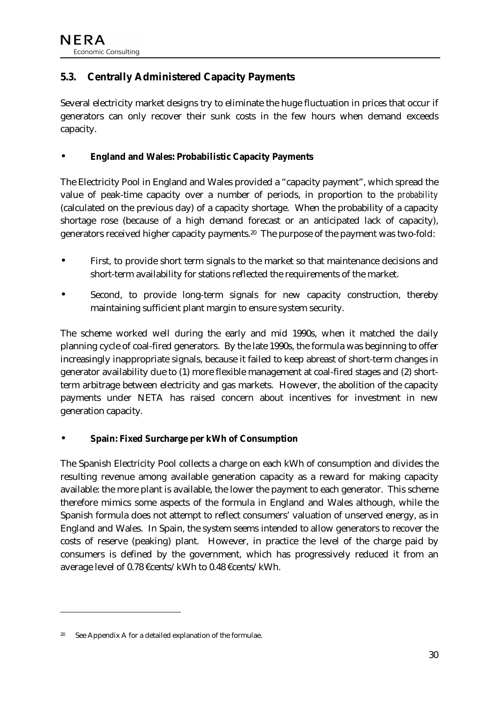# <span id="page-30-0"></span>**5.3. Centrally Administered Capacity Payments**

Several electricity market designs try to eliminate the huge fluctuation in prices that occur if generators can only recover their sunk costs in the few hours when demand exceeds capacity.

#### • **England and Wales: Probabilistic Capacity Payments**

The Electricity Pool in England and Wales provided a "capacity payment", which spread the value of peak-time capacity over a number of periods, in proportion to the *probability* (calculated on the previous day) of a capacity shortage. When the probability of a capacity shortage rose (because of a high demand forecast or an anticipated lack of capacity), generators received higher capacity payments.20 The purpose of the payment was two-fold:

- First, to provide short term signals to the market so that maintenance decisions and short-term availability for stations reflected the requirements of the market.
- Second, to provide long-term signals for new capacity construction, thereby maintaining sufficient plant margin to ensure system security.

The scheme worked well during the early and mid 1990s, when it matched the daily planning cycle of coal-fired generators. By the late 1990s, the formula was beginning to offer increasingly inappropriate signals, because it failed to keep abreast of short-term changes in generator availability due to (1) more flexible management at coal-fired stages and (2) shortterm arbitrage between electricity and gas markets. However, the abolition of the capacity payments under NETA has raised concern about incentives for investment in new generation capacity.

#### • **Spain: Fixed Surcharge per kWh of Consumption**

The Spanish Electricity Pool collects a charge on each kWh of consumption and divides the resulting revenue among available generation capacity as a reward for making capacity available: the more plant is available, the lower the payment to each generator. This scheme therefore mimics some aspects of the formula in England and Wales although, while the Spanish formula does not attempt to reflect consumers' valuation of unserved energy, as in England and Wales. In Spain, the system seems intended to allow generators to recover the costs of reserve (peaking) plant. However, in practice the level of the charge paid by consumers is defined by the government, which has progressively reduced it from an average level of 0.78 €cents/kWh to 0.48 €cents/kWh.

 $\ddot{\phantom{a}}$ 

<sup>20</sup> See Appendix A for a detailed explanation of the formulae.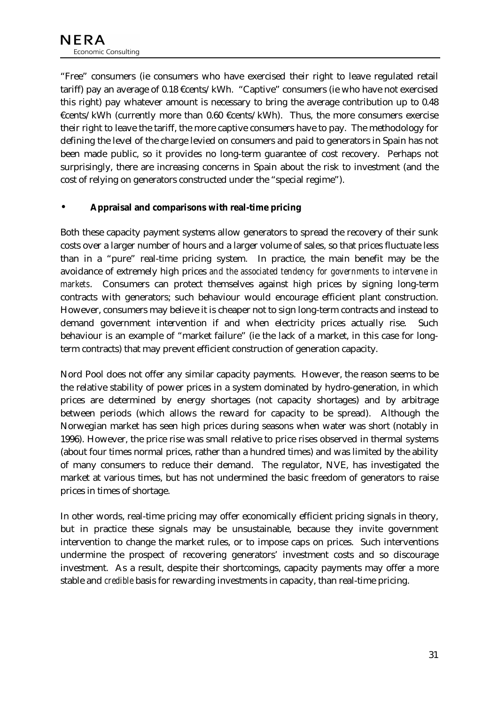"Free" consumers (ie consumers who have exercised their right to leave regulated retail tariff) pay an average of 0.18 €cents/kWh. "Captive" consumers (ie who have not exercised this right) pay whatever amount is necessary to bring the average contribution up to 0.48  $\epsilon$ cents/kWh (currently more than 0.60  $\epsilon$ cents/kWh). Thus, the more consumers exercise their right to leave the tariff, the more captive consumers have to pay. The methodology for defining the level of the charge levied on consumers and paid to generators in Spain has not been made public, so it provides no long-term guarantee of cost recovery. Perhaps not surprisingly, there are increasing concerns in Spain about the risk to investment (and the cost of relying on generators constructed under the "special regime").

#### • **Appraisal and comparisons with real-time pricing**

Both these capacity payment systems allow generators to spread the recovery of their sunk costs over a larger number of hours and a larger volume of sales, so that prices fluctuate less than in a "pure" real-time pricing system. In practice, the main benefit may be the avoidance of extremely high prices *and the associated tendency for governments to intervene in markets*. Consumers can protect themselves against high prices by signing long-term contracts with generators; such behaviour would encourage efficient plant construction. However, consumers may believe it is cheaper not to sign long-term contracts and instead to demand government intervention if and when electricity prices actually rise. Such behaviour is an example of "market failure" (ie the lack of a market, in this case for longterm contracts) that may prevent efficient construction of generation capacity.

Nord Pool does not offer any similar capacity payments. However, the reason seems to be the relative stability of power prices in a system dominated by hydro-generation, in which prices are determined by energy shortages (not capacity shortages) and by arbitrage between periods (which allows the reward for capacity to be spread). Although the Norwegian market has seen high prices during seasons when water was short (notably in 1996). However, the price rise was small relative to price rises observed in thermal systems (about four times normal prices, rather than a hundred times) and was limited by the ability of many consumers to reduce their demand. The regulator, NVE, has investigated the market at various times, but has not undermined the basic freedom of generators to raise prices in times of shortage.

In other words, real-time pricing may offer economically efficient pricing signals in theory, but in practice these signals may be unsustainable, because they invite government intervention to change the market rules, or to impose caps on prices. Such interventions undermine the prospect of recovering generators' investment costs and so discourage investment. As a result, despite their shortcomings, capacity payments may offer a more stable and *credible* basis for rewarding investments in capacity, than real-time pricing.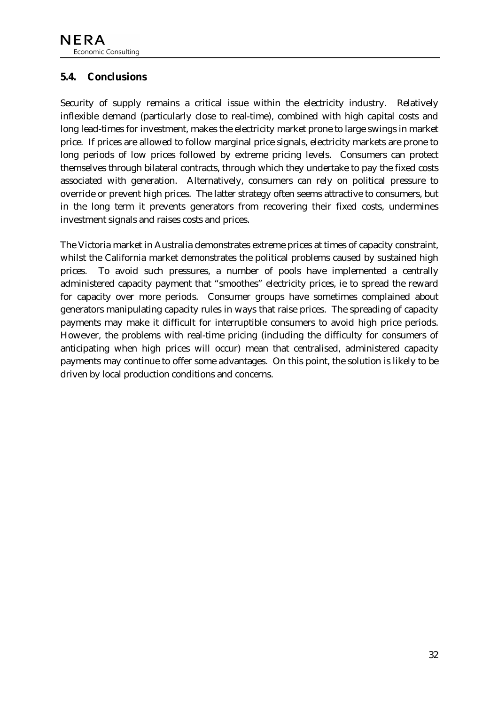## <span id="page-32-0"></span>**5.4. Conclusions**

Security of supply remains a critical issue within the electricity industry. Relatively inflexible demand (particularly close to real-time), combined with high capital costs and long lead-times for investment, makes the electricity market prone to large swings in market price. If prices are allowed to follow marginal price signals, electricity markets are prone to long periods of low prices followed by extreme pricing levels. Consumers can protect themselves through bilateral contracts, through which they undertake to pay the fixed costs associated with generation. Alternatively, consumers can rely on political pressure to override or prevent high prices. The latter strategy often seems attractive to consumers, but in the long term it prevents generators from recovering their fixed costs, undermines investment signals and raises costs and prices.

The Victoria market in Australia demonstrates extreme prices at times of capacity constraint, whilst the California market demonstrates the political problems caused by sustained high prices. To avoid such pressures, a number of pools have implemented a centrally administered capacity payment that "smoothes" electricity prices, ie to spread the reward for capacity over more periods. Consumer groups have sometimes complained about generators manipulating capacity rules in ways that raise prices. The spreading of capacity payments may make it difficult for interruptible consumers to avoid high price periods. However, the problems with real-time pricing (including the difficulty for consumers of anticipating when high prices will occur) mean that centralised, administered capacity payments may continue to offer some advantages. On this point, the solution is likely to be driven by local production conditions and concerns.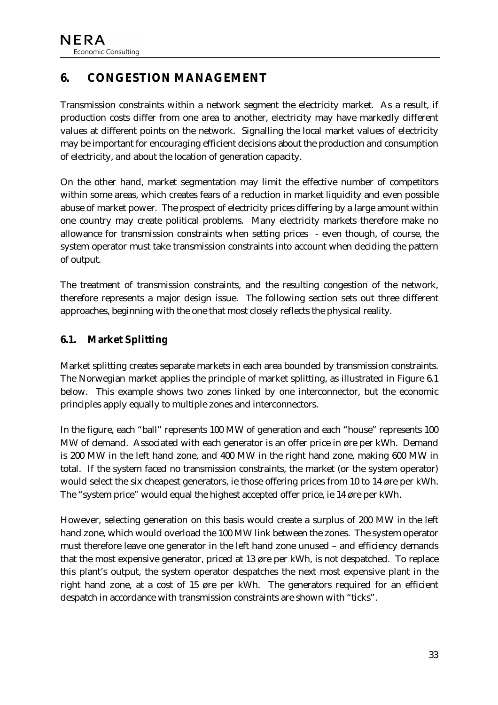# <span id="page-33-0"></span>**6. CONGESTION MANAGEMENT**

Transmission constraints within a network segment the electricity market. As a result, if production costs differ from one area to another, electricity may have markedly different values at different points on the network. Signalling the local market values of electricity may be important for encouraging efficient decisions about the production and consumption of electricity, and about the location of generation capacity.

On the other hand, market segmentation may limit the effective number of competitors within some areas, which creates fears of a reduction in market liquidity and even possible abuse of market power. The prospect of electricity prices differing by a large amount within one country may create political problems. Many electricity markets therefore make no allowance for transmission constraints when setting prices - even though, of course, the system operator must take transmission constraints into account when deciding the pattern of output.

The treatment of transmission constraints, and the resulting congestion of the network, therefore represents a major design issue. The following section sets out three different approaches, beginning with the one that most closely reflects the physical reality.

## **6.1. Market Splitting**

Market splitting creates separate markets in each area bounded by transmission constraints. The Norwegian market applies the principle of market splitting, as illustrated in [Figure 6.1](#page-34-0)  below. This example shows two zones linked by one interconnector, but the economic principles apply equally to multiple zones and interconnectors.

In the figure, each "ball" represents 100 MW of generation and each "house" represents 100 MW of demand. Associated with each generator is an offer price in øre per kWh. Demand is 200 MW in the left hand zone, and 400 MW in the right hand zone, making 600 MW in total. If the system faced no transmission constraints, the market (or the system operator) would select the six cheapest generators, ie those offering prices from 10 to 14 øre per kWh. The "system price" would equal the highest accepted offer price, ie 14 øre per kWh.

However, selecting generation on this basis would create a surplus of 200 MW in the left hand zone, which would overload the 100 MW link between the zones. The system operator must therefore leave one generator in the left hand zone unused – and efficiency demands that the most expensive generator, priced at 13 øre per kWh, is not despatched. To replace this plant's output, the system operator despatches the next most expensive plant in the right hand zone, at a cost of 15 øre per kWh. The generators required for an efficient despatch in accordance with transmission constraints are shown with "ticks".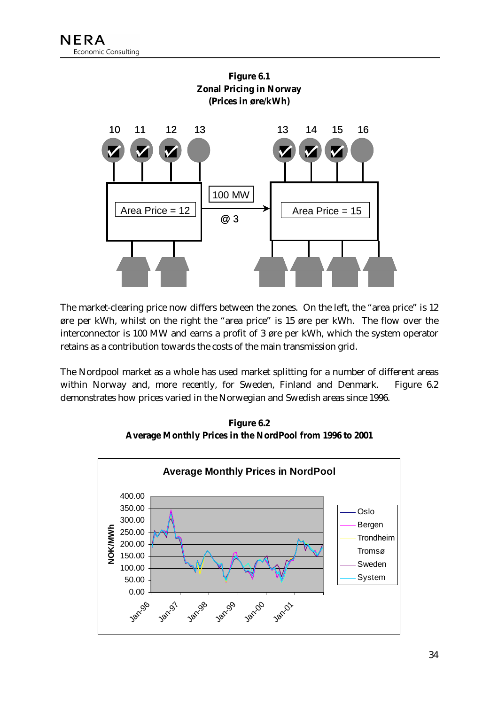<span id="page-34-0"></span>

The market-clearing price now differs between the zones. On the left, the "area price" is 12 øre per kWh, whilst on the right the "area price" is 15 øre per kWh. The flow over the interconnector is 100 MW and earns a profit of 3 øre per kWh, which the system operator retains as a contribution towards the costs of the main transmission grid.

The Nordpool market as a whole has used market splitting for a number of different areas within Norway and, more recently, for Sweden, Finland and Denmark. Figure 6.2 demonstrates how prices varied in the Norwegian and Swedish areas since 1996.

**Figure 6.2 Average Monthly Prices in the NordPool from 1996 to 2001** 

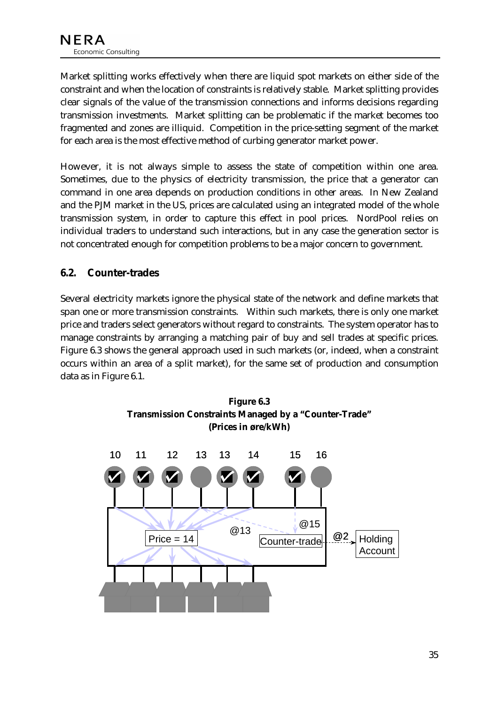<span id="page-35-0"></span>Market splitting works effectively when there are liquid spot markets on either side of the constraint and when the location of constraints is relatively stable. Market splitting provides clear signals of the value of the transmission connections and informs decisions regarding transmission investments. Market splitting can be problematic if the market becomes too fragmented and zones are illiquid. Competition in the price-setting segment of the market for each area is the most effective method of curbing generator market power.

However, it is not always simple to assess the state of competition within one area. Sometimes, due to the physics of electricity transmission, the price that a generator can command in one area depends on production conditions in other areas. In New Zealand and the PJM market in the US, prices are calculated using an integrated model of the whole transmission system, in order to capture this effect in pool prices. NordPool relies on individual traders to understand such interactions, but in any case the generation sector is not concentrated enough for competition problems to be a major concern to government.

## **6.2. Counter-trades**

Several electricity markets ignore the physical state of the network and define markets that span one or more transmission constraints. Within such markets, there is only one market price and traders select generators without regard to constraints. The system operator has to manage constraints by arranging a matching pair of buy and sell trades at specific prices. Figure 6.3 shows the general approach used in such markets (or, indeed, when a constraint occurs within an area of a split market), for the same set of production and consumption data as in [Figure 6.1.](#page-34-0)



**Figure 6.3**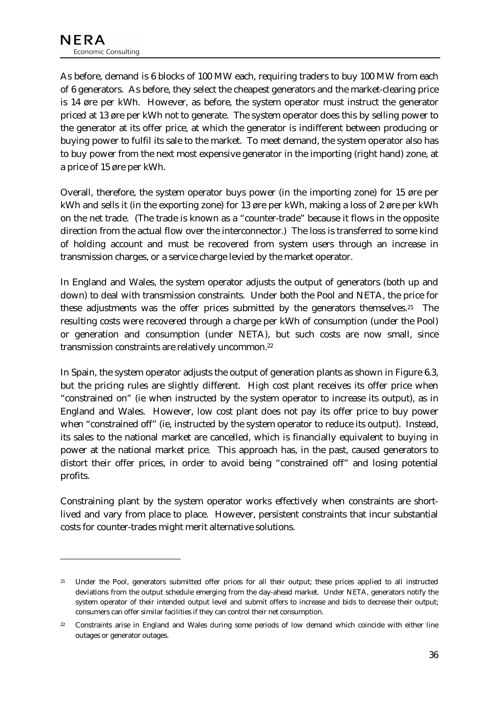$\overline{a}$ 

As before, demand is 6 blocks of 100 MW each, requiring traders to buy 100 MW from each of 6 generators. As before, they select the cheapest generators and the market-clearing price is 14 øre per kWh. However, as before, the system operator must instruct the generator priced at 13 øre per kWh not to generate. The system operator does this by selling power to the generator at its offer price, at which the generator is indifferent between producing or buying power to fulfil its sale to the market. To meet demand, the system operator also has to buy power from the next most expensive generator in the importing (right hand) zone, at a price of 15 øre per kWh.

Overall, therefore, the system operator buys power (in the importing zone) for 15 øre per kWh and sells it (in the exporting zone) for 13 øre per kWh, making a loss of 2 øre per kWh on the net trade. (The trade is known as a "counter-trade" because it flows in the opposite direction from the actual flow over the interconnector.) The loss is transferred to some kind of holding account and must be recovered from system users through an increase in transmission charges, or a service charge levied by the market operator.

In England and Wales, the system operator adjusts the output of generators (both up and down) to deal with transmission constraints. Under both the Pool and NETA, the price for these adjustments was the offer prices submitted by the generators themselves.21 The resulting costs were recovered through a charge per kWh of consumption (under the Pool) or generation and consumption (under NETA), but such costs are now small, since transmission constraints are relatively uncommon.22

In Spain, the system operator adjusts the output of generation plants as shown in [Figure 6.3,](#page-35-0) but the pricing rules are slightly different. High cost plant receives its offer price when "constrained on" (ie when instructed by the system operator to increase its output), as in England and Wales. However, low cost plant does not pay its offer price to buy power when "constrained off" (ie, instructed by the system operator to reduce its output). Instead, its sales to the national market are cancelled, which is financially equivalent to buying in power at the national market price. This approach has, in the past, caused generators to distort their offer prices, in order to avoid being "constrained off" and losing potential profits.

Constraining plant by the system operator works effectively when constraints are shortlived and vary from place to place. However, persistent constraints that incur substantial costs for counter-trades might merit alternative solutions.

<sup>&</sup>lt;sup>21</sup> Under the Pool, generators submitted offer prices for all their output; these prices applied to all instructed deviations from the output schedule emerging from the day-ahead market. Under NETA, generators notify the system operator of their intended output level and submit offers to increase and bids to decrease their output; consumers can offer similar facilities if they can control their net consumption.

<sup>22</sup> Constraints arise in England and Wales during some periods of low demand which coincide with either line outages or generator outages.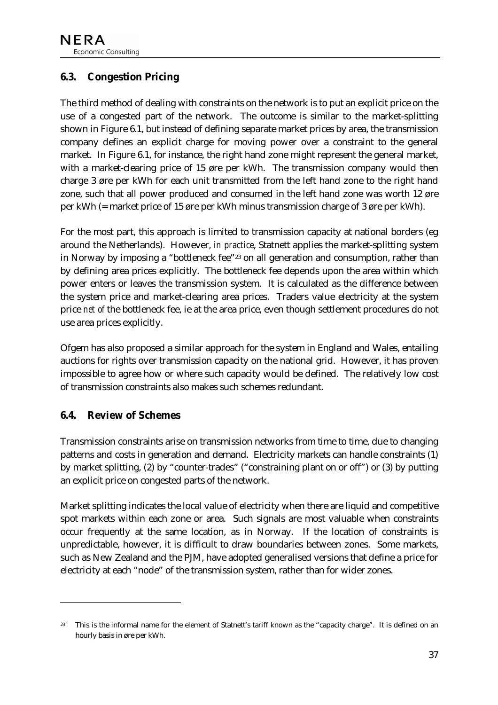## <span id="page-37-0"></span>**6.3. Congestion Pricing**

The third method of dealing with constraints on the network is to put an explicit price on the use of a congested part of the network. The outcome is similar to the market-splitting shown in [Figure 6.1,](#page-34-0) but instead of defining separate market prices by area, the transmission company defines an explicit charge for moving power over a constraint to the general market. In [Figure 6.1,](#page-34-0) for instance, the right hand zone might represent the general market, with a market-clearing price of 15 øre per kWh. The transmission company would then charge 3 øre per kWh for each unit transmitted from the left hand zone to the right hand zone, such that all power produced and consumed in the left hand zone was worth 12 øre per kWh (= market price of 15 øre per kWh minus transmission charge of 3 øre per kWh).

For the most part, this approach is limited to transmission capacity at national borders (eg around the Netherlands). However, *in practice*, Statnett applies the market-splitting system in Norway by imposing a "bottleneck fee"23 on all generation and consumption, rather than by defining area prices explicitly. The bottleneck fee depends upon the area within which power enters or leaves the transmission system. It is calculated as the difference between the system price and market-clearing area prices. Traders value electricity at the system price *net of* the bottleneck fee, ie at the area price, even though settlement procedures do not use area prices explicitly.

Ofgem has also proposed a similar approach for the system in England and Wales, entailing auctions for rights over transmission capacity on the national grid. However, it has proven impossible to agree how or where such capacity would be defined. The relatively low cost of transmission constraints also makes such schemes redundant.

#### **6.4. Review of Schemes**

 $\ddot{\phantom{a}}$ 

Transmission constraints arise on transmission networks from time to time, due to changing patterns and costs in generation and demand. Electricity markets can handle constraints (1) by market splitting, (2) by "counter-trades" ("constraining plant on or off") or (3) by putting an explicit price on congested parts of the network.

Market splitting indicates the local value of electricity when there are liquid and competitive spot markets within each zone or area. Such signals are most valuable when constraints occur frequently at the same location, as in Norway. If the location of constraints is unpredictable, however, it is difficult to draw boundaries between zones. Some markets, such as New Zealand and the PJM, have adopted generalised versions that define a price for electricity at each "node" of the transmission system, rather than for wider zones.

<sup>&</sup>lt;sup>23</sup> This is the informal name for the element of Statnett's tariff known as the "capacity charge". It is defined on an hourly basis in øre per kWh.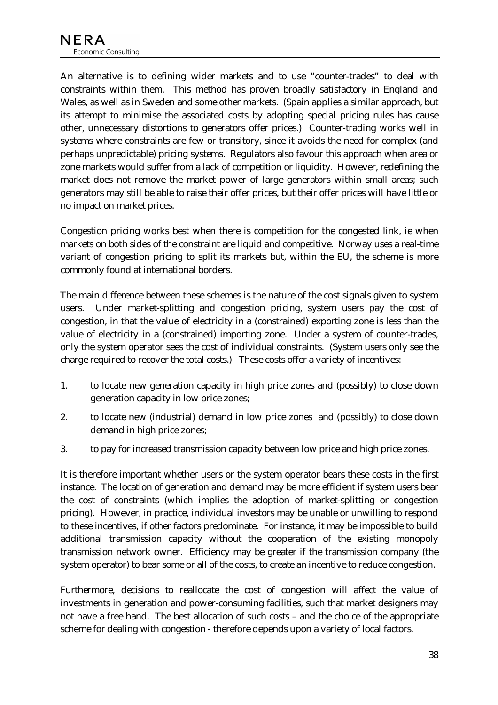An alternative is to defining wider markets and to use "counter-trades" to deal with constraints within them. This method has proven broadly satisfactory in England and Wales, as well as in Sweden and some other markets. (Spain applies a similar approach, but its attempt to minimise the associated costs by adopting special pricing rules has cause other, unnecessary distortions to generators offer prices.) Counter-trading works well in systems where constraints are few or transitory, since it avoids the need for complex (and perhaps unpredictable) pricing systems. Regulators also favour this approach when area or zone markets would suffer from a lack of competition or liquidity. However, redefining the market does not remove the market power of large generators within small areas; such generators may still be able to raise their offer prices, but their offer prices will have little or no impact on market prices.

Congestion pricing works best when there is competition for the congested link, ie when markets on both sides of the constraint are liquid and competitive. Norway uses a real-time variant of congestion pricing to split its markets but, within the EU, the scheme is more commonly found at international borders.

The main difference between these schemes is the nature of the cost signals given to system users. Under market-splitting and congestion pricing, system users pay the cost of congestion, in that the value of electricity in a (constrained) exporting zone is less than the value of electricity in a (constrained) importing zone. Under a system of counter-trades, only the system operator sees the cost of individual constraints. (System users only see the charge required to recover the total costs.) These costs offer a variety of incentives:

- 1. to locate new generation capacity in high price zones and (possibly) to close down generation capacity in low price zones;
- 2. to locate new (industrial) demand in low price zones and (possibly) to close down demand in high price zones;
- 3. to pay for increased transmission capacity between low price and high price zones.

It is therefore important whether users or the system operator bears these costs in the first instance. The location of generation and demand may be more efficient if system users bear the cost of constraints (which implies the adoption of market-splitting or congestion pricing). However, in practice, individual investors may be unable or unwilling to respond to these incentives, if other factors predominate. For instance, it may be impossible to build additional transmission capacity without the cooperation of the existing monopoly transmission network owner. Efficiency may be greater if the transmission company (the system operator) to bear some or all of the costs, to create an incentive to reduce congestion.

Furthermore, decisions to reallocate the cost of congestion will affect the value of investments in generation and power-consuming facilities, such that market designers may not have a free hand. The best allocation of such costs – and the choice of the appropriate scheme for dealing with congestion - therefore depends upon a variety of local factors.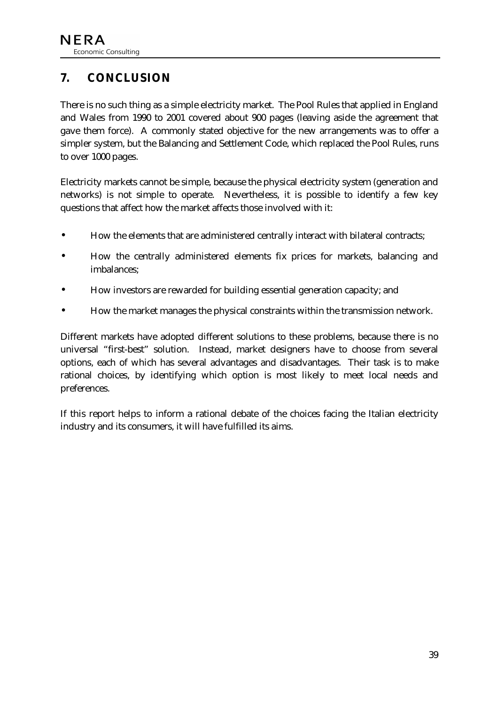# <span id="page-39-0"></span>**7. CONCLUSION**

There is no such thing as a simple electricity market. The Pool Rules that applied in England and Wales from 1990 to 2001 covered about 900 pages (leaving aside the agreement that gave them force). A commonly stated objective for the new arrangements was to offer a simpler system, but the Balancing and Settlement Code, which replaced the Pool Rules, runs to over 1000 pages.

Electricity markets cannot be simple, because the physical electricity system (generation and networks) is not simple to operate. Nevertheless, it is possible to identify a few key questions that affect how the market affects those involved with it:

- How the elements that are administered centrally interact with bilateral contracts;
- How the centrally administered elements fix prices for markets, balancing and imbalances;
- How investors are rewarded for building essential generation capacity; and
- How the market manages the physical constraints within the transmission network.

Different markets have adopted different solutions to these problems, because there is no universal "first-best" solution. Instead, market designers have to choose from several options, each of which has several advantages and disadvantages. Their task is to make rational choices, by identifying which option is most likely to meet local needs and preferences.

If this report helps to inform a rational debate of the choices facing the Italian electricity industry and its consumers, it will have fulfilled its aims.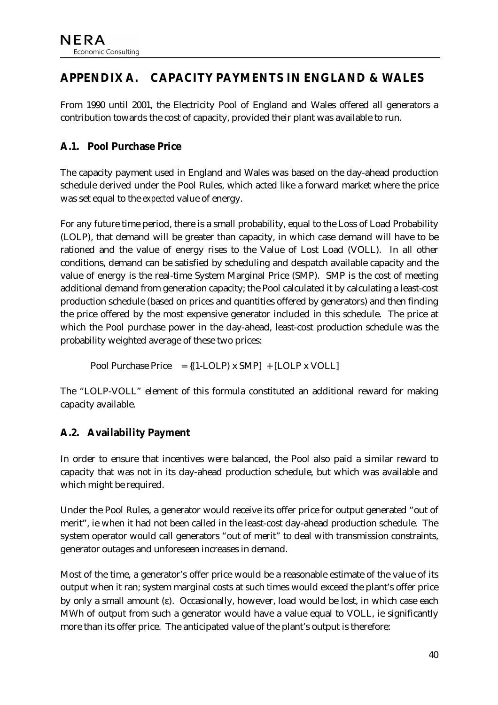# <span id="page-40-0"></span>**APPENDIX A. CAPACITY PAYMENTS IN ENGLAND & WALES**

From 1990 until 2001, the Electricity Pool of England and Wales offered all generators a contribution towards the cost of capacity, provided their plant was available to run.

## **A.1. Pool Purchase Price**

The capacity payment used in England and Wales was based on the day-ahead production schedule derived under the Pool Rules, which acted like a forward market where the price was set equal to the *expected* value of energy.

For any future time period, there is a small probability, equal to the Loss of Load Probability (LOLP), that demand will be greater than capacity, in which case demand will have to be rationed and the value of energy rises to the Value of Lost Load (VOLL). In all other conditions, demand can be satisfied by scheduling and despatch available capacity and the value of energy is the real-time System Marginal Price (SMP). SMP is the cost of meeting additional demand from generation capacity; the Pool calculated it by calculating a least-cost production schedule (based on prices and quantities offered by generators) and then finding the price offered by the most expensive generator included in this schedule. The price at which the Pool purchase power in the day-ahead, least-cost production schedule was the probability weighted average of these two prices:

Pool Purchase Price  $= \{(1-LOLP) \times SMP\} + [LOLP \times VOLL]$ 

The "LOLP-VOLL" element of this formula constituted an additional reward for making capacity available.

# **A.2. Availability Payment**

In order to ensure that incentives were balanced, the Pool also paid a similar reward to capacity that was not in its day-ahead production schedule, but which was available and which might be required.

Under the Pool Rules, a generator would receive its offer price for output generated "out of merit", ie when it had not been called in the least-cost day-ahead production schedule. The system operator would call generators "out of merit" to deal with transmission constraints, generator outages and unforeseen increases in demand.

Most of the time, a generator's offer price would be a reasonable estimate of the value of its output when it ran; system marginal costs at such times would exceed the plant's offer price by only a small amount (ε). Occasionally, however, load would be lost, in which case each MWh of output from such a generator would have a value equal to VOLL, ie significantly more than its offer price. The anticipated value of the plant's output is therefore: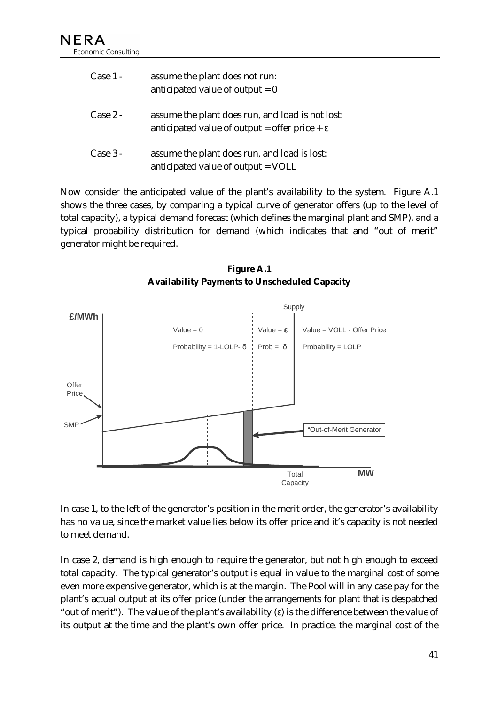| Case $1 -$ | assume the plant does not run:<br>anticipated value of output $= 0$                                           |
|------------|---------------------------------------------------------------------------------------------------------------|
| $Case 2 -$ | assume the plant does run, and load is not lost:<br>anticipated value of output = offer price + $\varepsilon$ |
| $Case 3 -$ | assume the plant does run, and load is lost:<br>anticipated value of output = VOLL                            |

Now consider the anticipated value of the plant's availability to the system. Figure A.1 shows the three cases, by comparing a typical curve of generator offers (up to the level of total capacity), a typical demand forecast (which defines the marginal plant and SMP), and a typical probability distribution for demand (which indicates that and "out of merit" generator might be required.

**Figure A.1 Availability Payments to Unscheduled Capacity** 



In case 1, to the left of the generator's position in the merit order, the generator's availability has no value, since the market value lies below its offer price and it's capacity is not needed to meet demand.

In case 2, demand is high enough to require the generator, but not high enough to exceed total capacity. The typical generator's output is equal in value to the marginal cost of some even more expensive generator, which is at the margin. The Pool will in any case pay for the plant's actual output at its offer price (under the arrangements for plant that is despatched "out of merit"). The value of the plant's availability (ε) is the difference between the value of its output at the time and the plant's own offer price. In practice, the marginal cost of the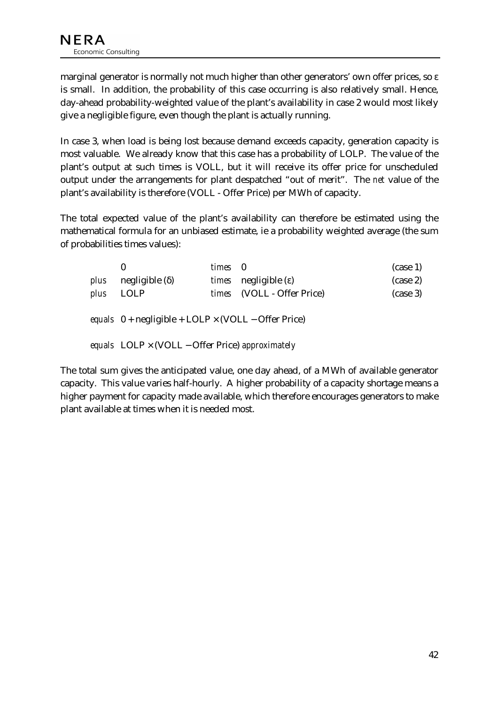marginal generator is normally not much higher than other generators' own offer prices, so ε is small. In addition, the probability of this case occurring is also relatively small. Hence, day-ahead probability-weighted value of the plant's availability in case 2 would most likely give a negligible figure, even though the plant is actually running.

In case 3, when load is being lost because demand exceeds capacity, generation capacity is most valuable. We already know that this case has a probability of LOLP. The value of the plant's output at such times is VOLL, but it will receive its offer price for unscheduled output under the arrangements for plant despatched "out of merit". The *net* value of the plant's availability is therefore (VOLL - Offer Price) per MWh of capacity.

The total expected value of the plant's availability can therefore be estimated using the mathematical formula for an unbiased estimate, ie a probability weighted average (the sum of probabilities times values):

|                                                         | $\bf{0}$                                                                               | times 0 |                                      | $(\case 1)$ |  |  |
|---------------------------------------------------------|----------------------------------------------------------------------------------------|---------|--------------------------------------|-------------|--|--|
| plus                                                    | $negligible$ ( $\delta$ )                                                              |         | <i>times</i> negligible $(\epsilon)$ | $(\case 2)$ |  |  |
| plus                                                    | LOLP                                                                                   |         | times (VOLL - Offer Price)           | $(\case 3)$ |  |  |
|                                                         | equals $0 + \text{negligible} + \text{LOLP} \times (\text{VOLL} - \text{Offer Price})$ |         |                                      |             |  |  |
| equals $LOLP \times (VOLL - Offer Price)$ approximately |                                                                                        |         |                                      |             |  |  |

The total sum gives the anticipated value, one day ahead, of a MWh of available generator capacity. This value varies half-hourly. A higher probability of a capacity shortage means a higher payment for capacity made available, which therefore encourages generators to make plant available at times when it is needed most.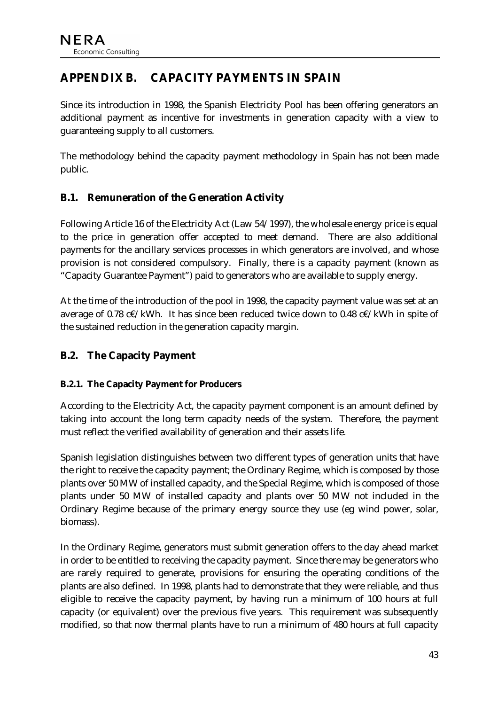# <span id="page-43-0"></span>**APPENDIX B. CAPACITY PAYMENTS IN SPAIN**

Since its introduction in 1998, the Spanish Electricity Pool has been offering generators an additional payment as incentive for investments in generation capacity with a view to guaranteeing supply to all customers.

The methodology behind the capacity payment methodology in Spain has not been made public.

## **B.1. Remuneration of the Generation Activity**

Following Article 16 of the Electricity Act (Law 54/1997), the wholesale energy price is equal to the price in generation offer accepted to meet demand. There are also additional payments for the ancillary services processes in which generators are involved, and whose provision is not considered compulsory. Finally, there is a capacity payment (known as "Capacity Guarantee Payment") paid to generators who are available to supply energy.

At the time of the introduction of the pool in 1998, the capacity payment value was set at an average of 0.78 c€/kWh. It has since been reduced twice down to 0.48 c€/kWh in spite of the sustained reduction in the generation capacity margin.

#### **B.2. The Capacity Payment**

#### **B.2.1. The Capacity Payment for Producers**

According to the Electricity Act, the capacity payment component is an amount defined by taking into account the long term capacity needs of the system. Therefore, the payment must reflect the verified availability of generation and their assets life.

Spanish legislation distinguishes between two different types of generation units that have the right to receive the capacity payment; the Ordinary Regime, which is composed by those plants over 50 MW of installed capacity, and the Special Regime, which is composed of those plants under 50 MW of installed capacity and plants over 50 MW not included in the Ordinary Regime because of the primary energy source they use (eg wind power, solar, biomass).

In the Ordinary Regime, generators must submit generation offers to the day ahead market in order to be entitled to receiving the capacity payment. Since there may be generators who are rarely required to generate, provisions for ensuring the operating conditions of the plants are also defined. In 1998, plants had to demonstrate that they were reliable, and thus eligible to receive the capacity payment, by having run a minimum of 100 hours at full capacity (or equivalent) over the previous five years. This requirement was subsequently modified, so that now thermal plants have to run a minimum of 480 hours at full capacity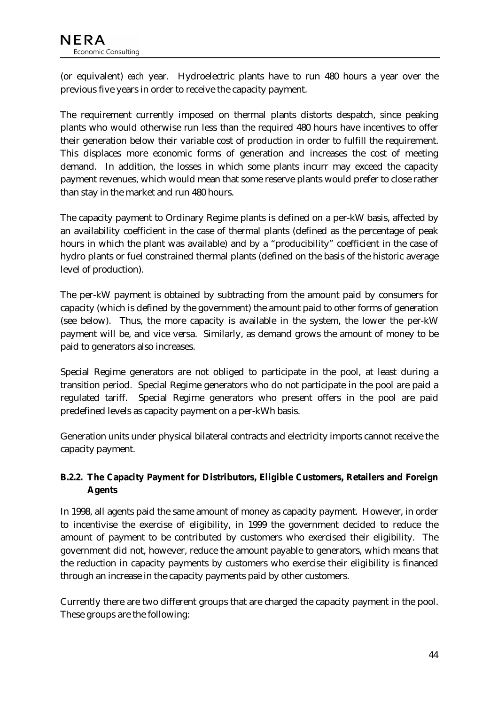(or equivalent) *each* year. Hydroelectric plants have to run 480 hours a year over the previous five years in order to receive the capacity payment.

The requirement currently imposed on thermal plants distorts despatch, since peaking plants who would otherwise run less than the required 480 hours have incentives to offer their generation below their variable cost of production in order to fulfill the requirement. This displaces more economic forms of generation and increases the cost of meeting demand. In addition, the losses in which some plants incurr may exceed the capacity payment revenues, which would mean that some reserve plants would prefer to close rather than stay in the market and run 480 hours.

The capacity payment to Ordinary Regime plants is defined on a per-kW basis, affected by an availability coefficient in the case of thermal plants (defined as the percentage of peak hours in which the plant was available) and by a "producibility" coefficient in the case of hydro plants or fuel constrained thermal plants (defined on the basis of the historic average level of production).

The per-kW payment is obtained by subtracting from the amount paid by consumers for capacity (which is defined by the government) the amount paid to other forms of generation (see below). Thus, the more capacity is available in the system, the lower the per-kW payment will be, and vice versa. Similarly, as demand grows the amount of money to be paid to generators also increases.

Special Regime generators are not obliged to participate in the pool, at least during a transition period. Special Regime generators who do not participate in the pool are paid a regulated tariff. Special Regime generators who present offers in the pool are paid predefined levels as capacity payment on a per-kWh basis.

Generation units under physical bilateral contracts and electricity imports cannot receive the capacity payment.

#### **B.2.2. The Capacity Payment for Distributors, Eligible Customers, Retailers and Foreign Agents**

In 1998, all agents paid the same amount of money as capacity payment. However, in order to incentivise the exercise of eligibility, in 1999 the government decided to reduce the amount of payment to be contributed by customers who exercised their eligibility. The government did not, however, reduce the amount payable to generators, which means that the reduction in capacity payments by customers who exercise their eligibility is financed through an increase in the capacity payments paid by other customers.

Currently there are two different groups that are charged the capacity payment in the pool. These groups are the following: